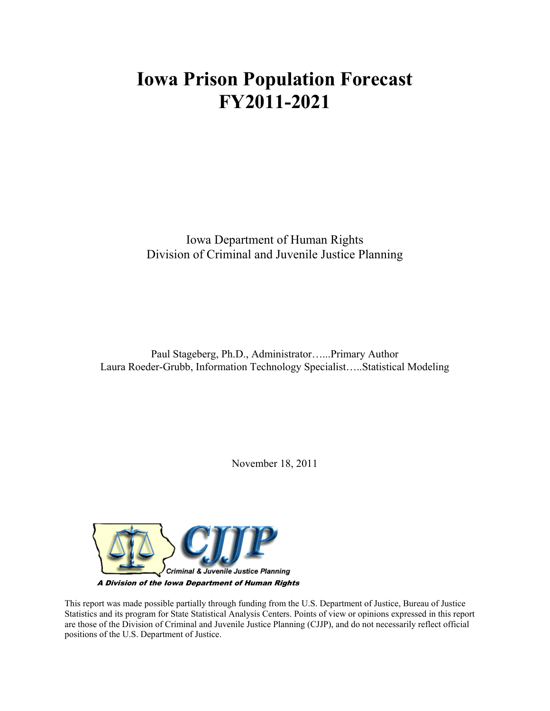# **Iowa Prison Population Forecast FY2011-2021**

Iowa Department of Human Rights Division of Criminal and Juvenile Justice Planning

Paul Stageberg, Ph.D., Administrator…...Primary Author Laura Roeder-Grubb, Information Technology Specialist…..Statistical Modeling

November 18, 2011



This report was made possible partially through funding from the U.S. Department of Justice, Bureau of Justice Statistics and its program for State Statistical Analysis Centers. Points of view or opinions expressed in this report are those of the Division of Criminal and Juvenile Justice Planning (CJJP), and do not necessarily reflect official positions of the U.S. Department of Justice.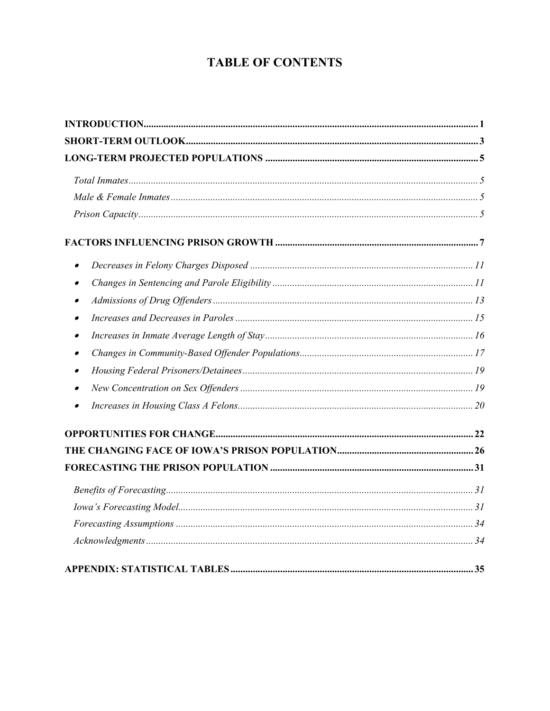# **TABLE OF CONTENTS**

| $\bullet$ |  |
|-----------|--|
| $\bullet$ |  |
| $\bullet$ |  |
|           |  |
|           |  |
| $\bullet$ |  |
|           |  |
|           |  |
|           |  |
|           |  |
|           |  |
|           |  |
|           |  |
|           |  |
|           |  |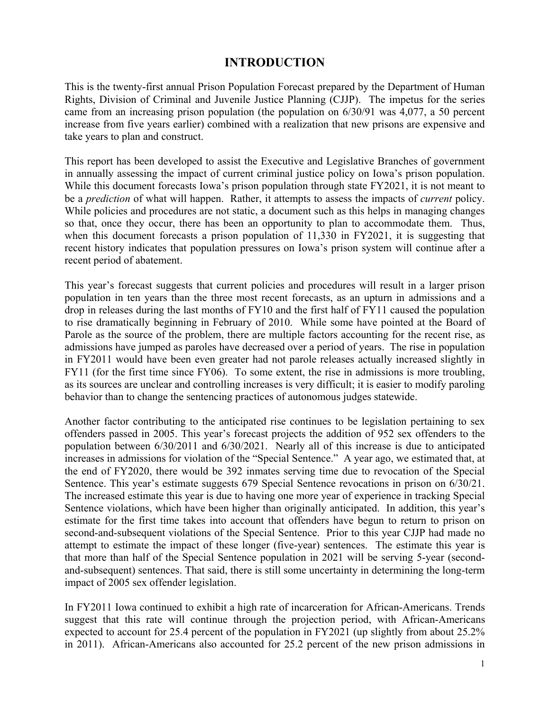### **INTRODUCTION**

This is the twenty-first annual Prison Population Forecast prepared by the Department of Human Rights, Division of Criminal and Juvenile Justice Planning (CJJP). The impetus for the series came from an increasing prison population (the population on 6/30/91 was 4,077, a 50 percent increase from five years earlier) combined with a realization that new prisons are expensive and take years to plan and construct.

This report has been developed to assist the Executive and Legislative Branches of government in annually assessing the impact of current criminal justice policy on Iowa's prison population. While this document forecasts Iowa's prison population through state FY2021, it is not meant to be a *prediction* of what will happen. Rather, it attempts to assess the impacts of *current* policy. While policies and procedures are not static, a document such as this helps in managing changes so that, once they occur, there has been an opportunity to plan to accommodate them. Thus, when this document forecasts a prison population of 11,330 in FY2021, it is suggesting that recent history indicates that population pressures on Iowa's prison system will continue after a recent period of abatement.

This year's forecast suggests that current policies and procedures will result in a larger prison population in ten years than the three most recent forecasts, as an upturn in admissions and a drop in releases during the last months of FY10 and the first half of FY11 caused the population to rise dramatically beginning in February of 2010. While some have pointed at the Board of Parole as the source of the problem, there are multiple factors accounting for the recent rise, as admissions have jumped as paroles have decreased over a period of years. The rise in population in FY2011 would have been even greater had not parole releases actually increased slightly in FY11 (for the first time since FY06). To some extent, the rise in admissions is more troubling, as its sources are unclear and controlling increases is very difficult; it is easier to modify paroling behavior than to change the sentencing practices of autonomous judges statewide.

Another factor contributing to the anticipated rise continues to be legislation pertaining to sex offenders passed in 2005. This year's forecast projects the addition of 952 sex offenders to the population between 6/30/2011 and 6/30/2021. Nearly all of this increase is due to anticipated increases in admissions for violation of the "Special Sentence." A year ago, we estimated that, at the end of FY2020, there would be 392 inmates serving time due to revocation of the Special Sentence. This year's estimate suggests 679 Special Sentence revocations in prison on 6/30/21. The increased estimate this year is due to having one more year of experience in tracking Special Sentence violations, which have been higher than originally anticipated. In addition, this year's estimate for the first time takes into account that offenders have begun to return to prison on second-and-subsequent violations of the Special Sentence. Prior to this year CJJP had made no attempt to estimate the impact of these longer (five-year) sentences. The estimate this year is that more than half of the Special Sentence population in 2021 will be serving 5-year (secondand-subsequent) sentences. That said, there is still some uncertainty in determining the long-term impact of 2005 sex offender legislation.

In FY2011 Iowa continued to exhibit a high rate of incarceration for African-Americans. Trends suggest that this rate will continue through the projection period, with African-Americans expected to account for 25.4 percent of the population in FY2021 (up slightly from about 25.2% in 2011). African-Americans also accounted for 25.2 percent of the new prison admissions in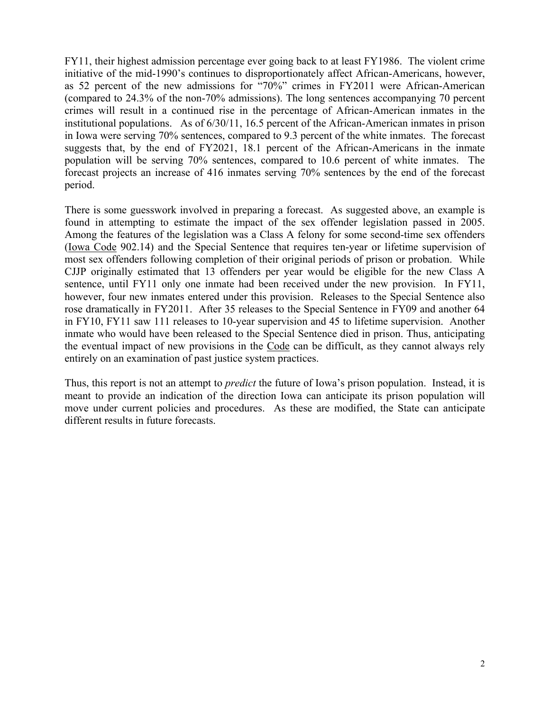FY11, their highest admission percentage ever going back to at least FY1986. The violent crime initiative of the mid-1990's continues to disproportionately affect African-Americans, however, as 52 percent of the new admissions for "70%" crimes in FY2011 were African-American (compared to 24.3% of the non-70% admissions). The long sentences accompanying 70 percent crimes will result in a continued rise in the percentage of African-American inmates in the institutional populations. As of 6/30/11, 16.5 percent of the African-American inmates in prison in Iowa were serving 70% sentences, compared to 9.3 percent of the white inmates. The forecast suggests that, by the end of FY2021, 18.1 percent of the African-Americans in the inmate population will be serving 70% sentences, compared to 10.6 percent of white inmates. The forecast projects an increase of 416 inmates serving 70% sentences by the end of the forecast period.

There is some guesswork involved in preparing a forecast. As suggested above, an example is found in attempting to estimate the impact of the sex offender legislation passed in 2005. Among the features of the legislation was a Class A felony for some second-time sex offenders (Iowa Code 902.14) and the Special Sentence that requires ten-year or lifetime supervision of most sex offenders following completion of their original periods of prison or probation. While CJJP originally estimated that 13 offenders per year would be eligible for the new Class A sentence, until FY11 only one inmate had been received under the new provision. In FY11, however, four new inmates entered under this provision. Releases to the Special Sentence also rose dramatically in FY2011. After 35 releases to the Special Sentence in FY09 and another 64 in FY10, FY11 saw 111 releases to 10-year supervision and 45 to lifetime supervision. Another inmate who would have been released to the Special Sentence died in prison. Thus, anticipating the eventual impact of new provisions in the Code can be difficult, as they cannot always rely entirely on an examination of past justice system practices.

Thus, this report is not an attempt to *predict* the future of Iowa's prison population. Instead, it is meant to provide an indication of the direction Iowa can anticipate its prison population will move under current policies and procedures. As these are modified, the State can anticipate different results in future forecasts.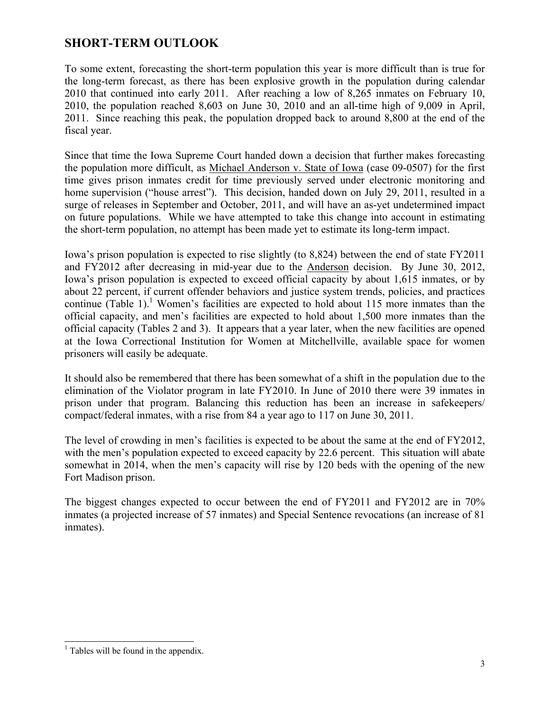### **SHORT-TERM OUTLOOK**

To some extent, forecasting the short-term population this year is more difficult than is true for the long-term forecast, as there has been explosive growth in the population during calendar 2010 that continued into early 2011. After reaching a low of 8,265 inmates on February 10, 2010, the population reached 8,603 on June 30, 2010 and an all-time high of 9,009 in April, 2011. Since reaching this peak, the population dropped back to around 8,800 at the end of the fiscal year.

Since that time the Iowa Supreme Court handed down a decision that further makes forecasting the population more difficult, as Michael Anderson v. State of Iowa (case 09-0507) for the first time gives prison inmates credit for time previously served under electronic monitoring and home supervision ("house arrest"). This decision, handed down on July 29, 2011, resulted in a surge of releases in September and October, 2011, and will have an as-yet undetermined impact on future populations. While we have attempted to take this change into account in estimating the short-term population, no attempt has been made yet to estimate its long-term impact.

Iowa's prison population is expected to rise slightly (to 8,824) between the end of state FY2011 and FY2012 after decreasing in mid-year due to the Anderson decision. By June 30, 2012, Iowa's prison population is expected to exceed official capacity by about 1,615 inmates, or by about 22 percent, if current offender behaviors and justice system trends, policies, and practices continue (Table 1).<sup>1</sup> Women's facilities are expected to hold about 115 more inmates than the official capacity, and men's facilities are expected to hold about 1,500 more inmates than the official capacity (Tables 2 and 3). It appears that a year later, when the new facilities are opened at the Iowa Correctional Institution for Women at Mitchellville, available space for women prisoners will easily be adequate.

It should also be remembered that there has been somewhat of a shift in the population due to the elimination of the Violator program in late FY2010. In June of 2010 there were 39 inmates in prison under that program. Balancing this reduction has been an increase in safekeepers/ compact/federal inmates, with a rise from 84 a year ago to 117 on June 30, 2011.

The level of crowding in men's facilities is expected to be about the same at the end of FY2012, with the men's population expected to exceed capacity by 22.6 percent. This situation will abate somewhat in 2014, when the men's capacity will rise by 120 beds with the opening of the new Fort Madison prison.

The biggest changes expected to occur between the end of FY2011 and FY2012 are in 70% inmates (a projected increase of 57 inmates) and Special Sentence revocations (an increase of 81 inmates).

<sup>&</sup>lt;sup>1</sup> Tables will be found in the appendix.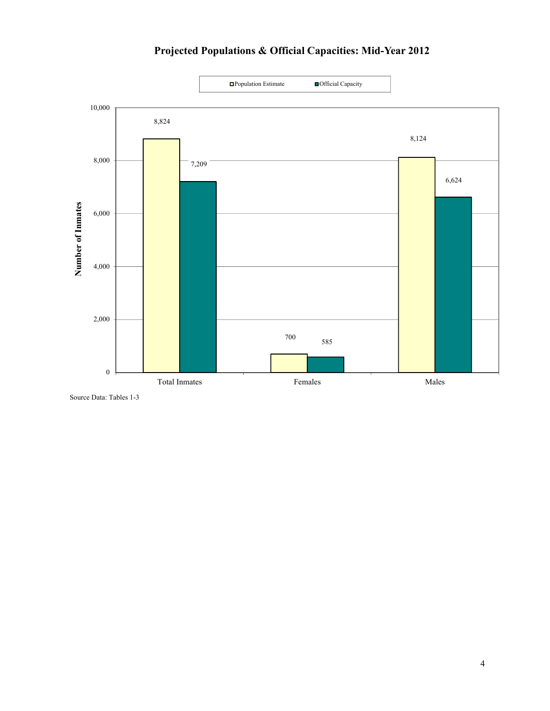

**Projected Populations & Official Capacities: Mid-Year 2012**

Source Data: Tables 1-3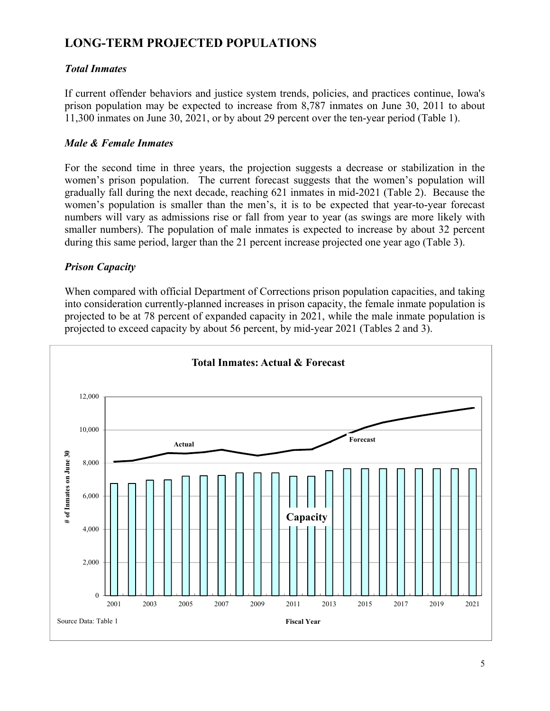## **LONG-TERM PROJECTED POPULATIONS**

### *Total Inmates*

If current offender behaviors and justice system trends, policies, and practices continue, Iowa's prison population may be expected to increase from 8,787 inmates on June 30, 2011 to about 11,300 inmates on June 30, 2021, or by about 29 percent over the ten-year period (Table 1).

### *Male & Female Inmates*

For the second time in three years, the projection suggests a decrease or stabilization in the women's prison population. The current forecast suggests that the women's population will gradually fall during the next decade, reaching 621 inmates in mid-2021 (Table 2). Because the women's population is smaller than the men's, it is to be expected that year-to-year forecast numbers will vary as admissions rise or fall from year to year (as swings are more likely with smaller numbers). The population of male inmates is expected to increase by about 32 percent during this same period, larger than the 21 percent increase projected one year ago (Table 3).

### *Prison Capacity*

When compared with official Department of Corrections prison population capacities, and taking into consideration currently-planned increases in prison capacity, the female inmate population is projected to be at 78 percent of expanded capacity in 2021, while the male inmate population is projected to exceed capacity by about 56 percent, by mid-year 2021 (Tables 2 and 3).

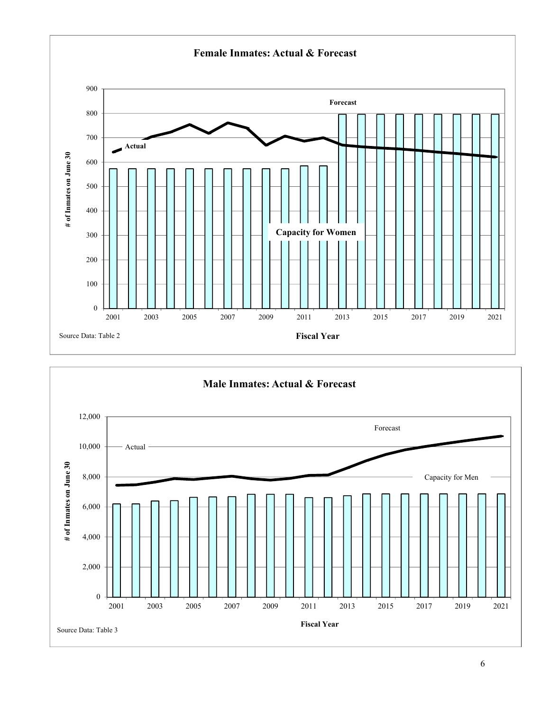

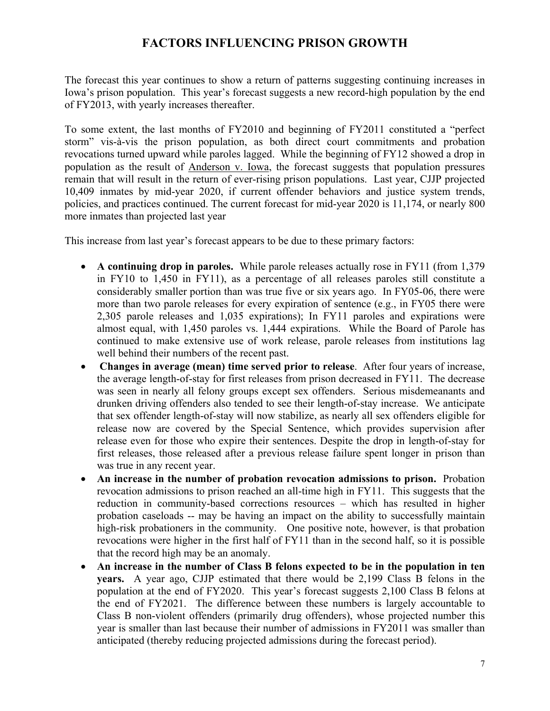### **FACTORS INFLUENCING PRISON GROWTH**

The forecast this year continues to show a return of patterns suggesting continuing increases in Iowa's prison population. This year's forecast suggests a new record-high population by the end of FY2013, with yearly increases thereafter.

To some extent, the last months of FY2010 and beginning of FY2011 constituted a "perfect storm" vis-à-vis the prison population, as both direct court commitments and probation revocations turned upward while paroles lagged. While the beginning of FY12 showed a drop in population as the result of Anderson v. Iowa, the forecast suggests that population pressures remain that will result in the return of ever-rising prison populations. Last year, CJJP projected 10,409 inmates by mid-year 2020, if current offender behaviors and justice system trends, policies, and practices continued. The current forecast for mid-year 2020 is 11,174, or nearly 800 more inmates than projected last year

This increase from last year's forecast appears to be due to these primary factors:

- x **A continuing drop in paroles.** While parole releases actually rose in FY11 (from 1,379 in FY10 to 1,450 in FY11), as a percentage of all releases paroles still constitute a considerably smaller portion than was true five or six years ago. In FY05-06, there were more than two parole releases for every expiration of sentence (e.g., in FY05 there were 2,305 parole releases and 1,035 expirations); In FY11 paroles and expirations were almost equal, with 1,450 paroles vs. 1,444 expirations. While the Board of Parole has continued to make extensive use of work release, parole releases from institutions lag well behind their numbers of the recent past.
- x **Changes in average (mean) time served prior to release**. After four years of increase, the average length-of-stay for first releases from prison decreased in FY11. The decrease was seen in nearly all felony groups except sex offenders. Serious misdemeanants and drunken driving offenders also tended to see their length-of-stay increase. We anticipate that sex offender length-of-stay will now stabilize, as nearly all sex offenders eligible for release now are covered by the Special Sentence, which provides supervision after release even for those who expire their sentences. Despite the drop in length-of-stay for first releases, those released after a previous release failure spent longer in prison than was true in any recent year.
- **•** An increase in the number of probation revocation admissions to prison. Probation revocation admissions to prison reached an all-time high in FY11. This suggests that the reduction in community-based corrections resources – which has resulted in higher probation caseloads -- may be having an impact on the ability to successfully maintain high-risk probationers in the community. One positive note, however, is that probation revocations were higher in the first half of FY11 than in the second half, so it is possible that the record high may be an anomaly.
- An increase in the number of Class B felons expected to be in the population in ten **years.** A year ago, CJJP estimated that there would be 2,199 Class B felons in the population at the end of FY2020. This year's forecast suggests 2,100 Class B felons at the end of FY2021. The difference between these numbers is largely accountable to Class B non-violent offenders (primarily drug offenders), whose projected number this year is smaller than last because their number of admissions in FY2011 was smaller than anticipated (thereby reducing projected admissions during the forecast period).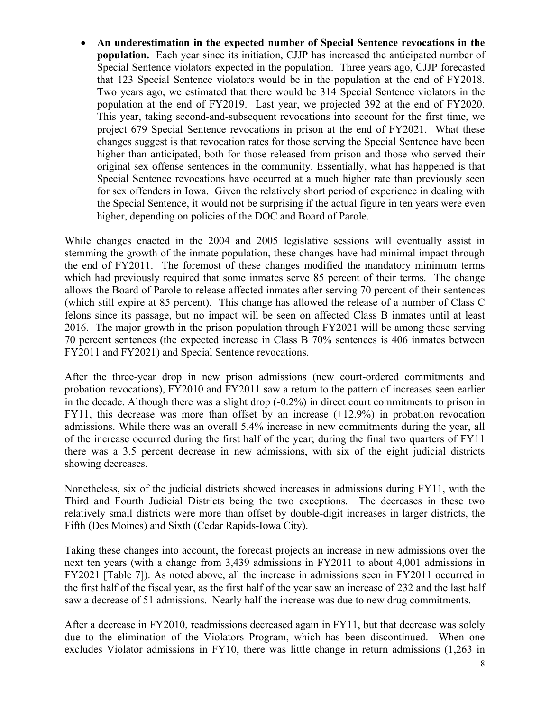x **An underestimation in the expected number of Special Sentence revocations in the population.** Each year since its initiation, CJJP has increased the anticipated number of Special Sentence violators expected in the population. Three years ago, CJJP forecasted that 123 Special Sentence violators would be in the population at the end of FY2018. Two years ago, we estimated that there would be 314 Special Sentence violators in the population at the end of FY2019. Last year, we projected 392 at the end of FY2020. This year, taking second-and-subsequent revocations into account for the first time, we project 679 Special Sentence revocations in prison at the end of FY2021. What these changes suggest is that revocation rates for those serving the Special Sentence have been higher than anticipated, both for those released from prison and those who served their original sex offense sentences in the community. Essentially, what has happened is that Special Sentence revocations have occurred at a much higher rate than previously seen for sex offenders in Iowa. Given the relatively short period of experience in dealing with the Special Sentence, it would not be surprising if the actual figure in ten years were even higher, depending on policies of the DOC and Board of Parole.

While changes enacted in the 2004 and 2005 legislative sessions will eventually assist in stemming the growth of the inmate population, these changes have had minimal impact through the end of FY2011. The foremost of these changes modified the mandatory minimum terms which had previously required that some inmates serve 85 percent of their terms. The change allows the Board of Parole to release affected inmates after serving 70 percent of their sentences (which still expire at 85 percent). This change has allowed the release of a number of Class C felons since its passage, but no impact will be seen on affected Class B inmates until at least 2016. The major growth in the prison population through FY2021 will be among those serving 70 percent sentences (the expected increase in Class B 70% sentences is 406 inmates between FY2011 and FY2021) and Special Sentence revocations.

After the three-year drop in new prison admissions (new court-ordered commitments and probation revocations), FY2010 and FY2011 saw a return to the pattern of increases seen earlier in the decade. Although there was a slight drop (-0.2%) in direct court commitments to prison in FY11, this decrease was more than offset by an increase (+12.9%) in probation revocation admissions. While there was an overall 5.4% increase in new commitments during the year, all of the increase occurred during the first half of the year; during the final two quarters of FY11 there was a 3.5 percent decrease in new admissions, with six of the eight judicial districts showing decreases.

Nonetheless, six of the judicial districts showed increases in admissions during FY11, with the Third and Fourth Judicial Districts being the two exceptions. The decreases in these two relatively small districts were more than offset by double-digit increases in larger districts, the Fifth (Des Moines) and Sixth (Cedar Rapids-Iowa City).

Taking these changes into account, the forecast projects an increase in new admissions over the next ten years (with a change from 3,439 admissions in FY2011 to about 4,001 admissions in FY2021 [Table 7]). As noted above, all the increase in admissions seen in FY2011 occurred in the first half of the fiscal year, as the first half of the year saw an increase of 232 and the last half saw a decrease of 51 admissions. Nearly half the increase was due to new drug commitments.

After a decrease in FY2010, readmissions decreased again in FY11, but that decrease was solely due to the elimination of the Violators Program, which has been discontinued. When one excludes Violator admissions in FY10, there was little change in return admissions (1,263 in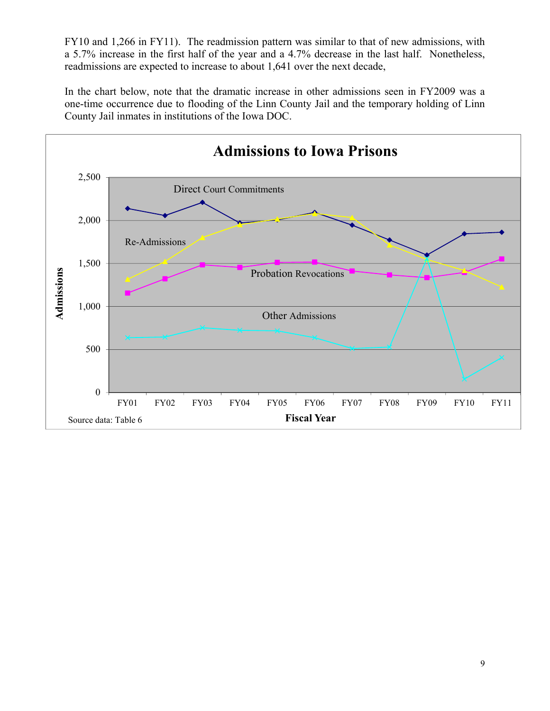FY10 and 1,266 in FY11). The readmission pattern was similar to that of new admissions, with a 5.7% increase in the first half of the year and a 4.7% decrease in the last half. Nonetheless, readmissions are expected to increase to about 1,641 over the next decade,

In the chart below, note that the dramatic increase in other admissions seen in FY2009 was a one-time occurrence due to flooding of the Linn County Jail and the temporary holding of Linn County Jail inmates in institutions of the Iowa DOC.

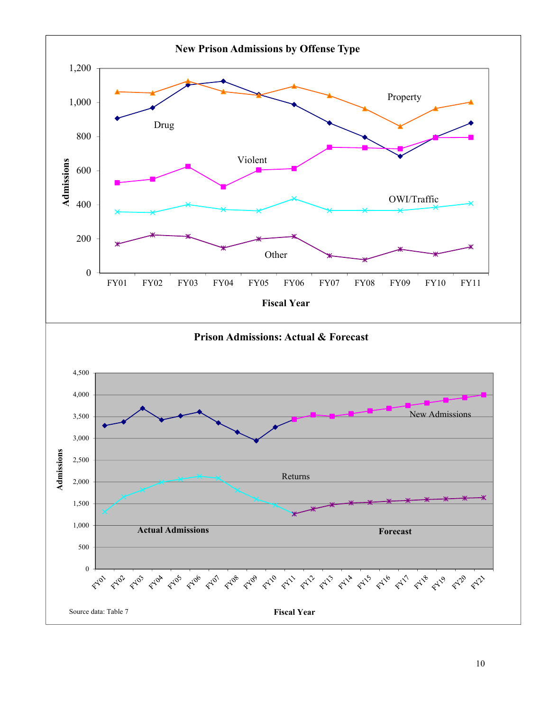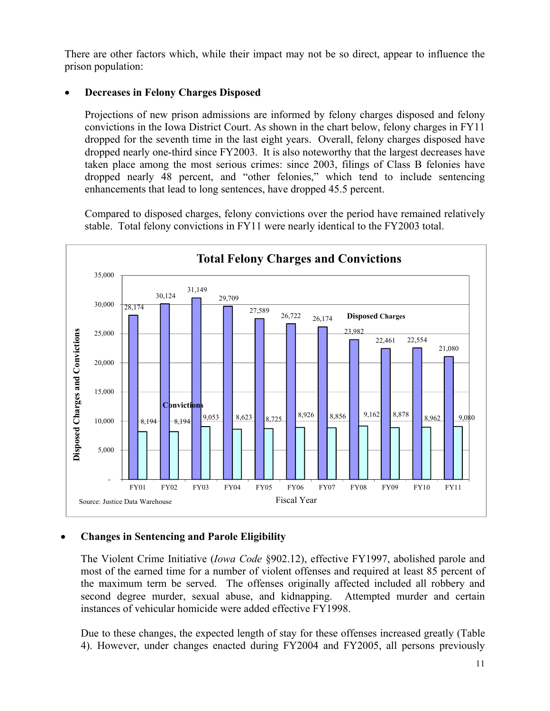There are other factors which, while their impact may not be so direct, appear to influence the prison population:

### x **Decreases in Felony Charges Disposed**

Projections of new prison admissions are informed by felony charges disposed and felony convictions in the Iowa District Court. As shown in the chart below, felony charges in FY11 dropped for the seventh time in the last eight years. Overall, felony charges disposed have dropped nearly one-third since FY2003. It is also noteworthy that the largest decreases have taken place among the most serious crimes: since 2003, filings of Class B felonies have dropped nearly 48 percent, and "other felonies," which tend to include sentencing enhancements that lead to long sentences, have dropped 45.5 percent.

Compared to disposed charges, felony convictions over the period have remained relatively stable. Total felony convictions in FY11 were nearly identical to the FY2003 total.



### x **Changes in Sentencing and Parole Eligibility**

The Violent Crime Initiative (*Iowa Code* §902.12), effective FY1997, abolished parole and most of the earned time for a number of violent offenses and required at least 85 percent of the maximum term be served. The offenses originally affected included all robbery and second degree murder, sexual abuse, and kidnapping. Attempted murder and certain instances of vehicular homicide were added effective FY1998.

Due to these changes, the expected length of stay for these offenses increased greatly (Table 4). However, under changes enacted during FY2004 and FY2005, all persons previously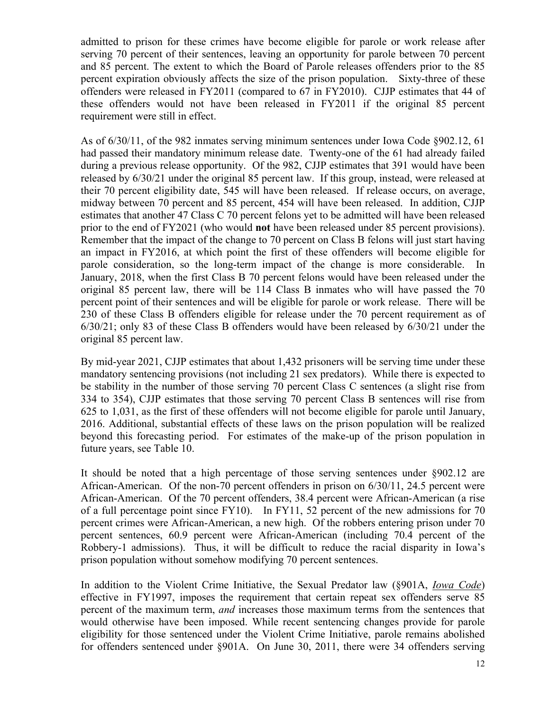admitted to prison for these crimes have become eligible for parole or work release after serving 70 percent of their sentences, leaving an opportunity for parole between 70 percent and 85 percent. The extent to which the Board of Parole releases offenders prior to the 85 percent expiration obviously affects the size of the prison population. Sixty-three of these offenders were released in FY2011 (compared to 67 in FY2010). CJJP estimates that 44 of these offenders would not have been released in FY2011 if the original 85 percent requirement were still in effect.

As of 6/30/11, of the 982 inmates serving minimum sentences under Iowa Code §902.12, 61 had passed their mandatory minimum release date. Twenty-one of the 61 had already failed during a previous release opportunity. Of the 982, CJJP estimates that 391 would have been released by 6/30/21 under the original 85 percent law. If this group, instead, were released at their 70 percent eligibility date, 545 will have been released. If release occurs, on average, midway between 70 percent and 85 percent, 454 will have been released. In addition, CJJP estimates that another 47 Class C 70 percent felons yet to be admitted will have been released prior to the end of FY2021 (who would **not** have been released under 85 percent provisions). Remember that the impact of the change to 70 percent on Class B felons will just start having an impact in FY2016, at which point the first of these offenders will become eligible for parole consideration, so the long-term impact of the change is more considerable. In January, 2018, when the first Class B 70 percent felons would have been released under the original 85 percent law, there will be 114 Class B inmates who will have passed the 70 percent point of their sentences and will be eligible for parole or work release. There will be 230 of these Class B offenders eligible for release under the 70 percent requirement as of 6/30/21; only 83 of these Class B offenders would have been released by 6/30/21 under the original 85 percent law.

By mid-year 2021, CJJP estimates that about 1,432 prisoners will be serving time under these mandatory sentencing provisions (not including 21 sex predators). While there is expected to be stability in the number of those serving 70 percent Class C sentences (a slight rise from 334 to 354), CJJP estimates that those serving 70 percent Class B sentences will rise from 625 to 1,031, as the first of these offenders will not become eligible for parole until January, 2016. Additional, substantial effects of these laws on the prison population will be realized beyond this forecasting period. For estimates of the make-up of the prison population in future years, see Table 10.

It should be noted that a high percentage of those serving sentences under §902.12 are African-American. Of the non-70 percent offenders in prison on 6/30/11, 24.5 percent were African-American. Of the 70 percent offenders, 38.4 percent were African-American (a rise of a full percentage point since FY10). In FY11, 52 percent of the new admissions for 70 percent crimes were African-American, a new high. Of the robbers entering prison under 70 percent sentences, 60.9 percent were African-American (including 70.4 percent of the Robbery-1 admissions). Thus, it will be difficult to reduce the racial disparity in Iowa's prison population without somehow modifying 70 percent sentences.

In addition to the Violent Crime Initiative, the Sexual Predator law (§901A, *Iowa Code*) effective in FY1997, imposes the requirement that certain repeat sex offenders serve 85 percent of the maximum term, *and* increases those maximum terms from the sentences that would otherwise have been imposed. While recent sentencing changes provide for parole eligibility for those sentenced under the Violent Crime Initiative, parole remains abolished for offenders sentenced under §901A. On June 30, 2011, there were 34 offenders serving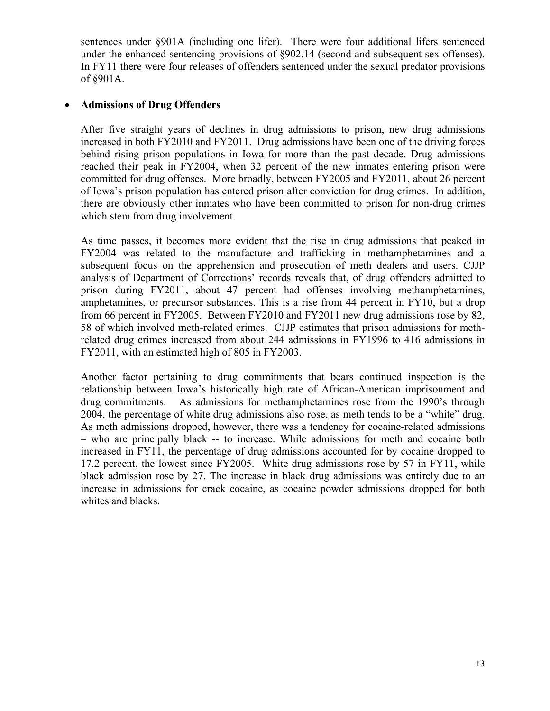sentences under §901A (including one lifer). There were four additional lifers sentenced under the enhanced sentencing provisions of §902.14 (second and subsequent sex offenses). In FY11 there were four releases of offenders sentenced under the sexual predator provisions of §901A.

### x **Admissions of Drug Offenders**

After five straight years of declines in drug admissions to prison, new drug admissions increased in both FY2010 and FY2011. Drug admissions have been one of the driving forces behind rising prison populations in Iowa for more than the past decade. Drug admissions reached their peak in FY2004, when 32 percent of the new inmates entering prison were committed for drug offenses. More broadly, between FY2005 and FY2011, about 26 percent of Iowa's prison population has entered prison after conviction for drug crimes. In addition, there are obviously other inmates who have been committed to prison for non-drug crimes which stem from drug involvement.

As time passes, it becomes more evident that the rise in drug admissions that peaked in FY2004 was related to the manufacture and trafficking in methamphetamines and a subsequent focus on the apprehension and prosecution of meth dealers and users. CJJP analysis of Department of Corrections' records reveals that, of drug offenders admitted to prison during FY2011, about 47 percent had offenses involving methamphetamines, amphetamines, or precursor substances. This is a rise from 44 percent in FY10, but a drop from 66 percent in FY2005. Between FY2010 and FY2011 new drug admissions rose by 82, 58 of which involved meth-related crimes. CJJP estimates that prison admissions for methrelated drug crimes increased from about 244 admissions in FY1996 to 416 admissions in FY2011, with an estimated high of 805 in FY2003.

Another factor pertaining to drug commitments that bears continued inspection is the relationship between Iowa's historically high rate of African-American imprisonment and drug commitments. As admissions for methamphetamines rose from the 1990's through 2004, the percentage of white drug admissions also rose, as meth tends to be a "white" drug. As meth admissions dropped, however, there was a tendency for cocaine-related admissions – who are principally black -- to increase. While admissions for meth and cocaine both increased in FY11, the percentage of drug admissions accounted for by cocaine dropped to 17.2 percent, the lowest since FY2005. White drug admissions rose by 57 in FY11, while black admission rose by 27. The increase in black drug admissions was entirely due to an increase in admissions for crack cocaine, as cocaine powder admissions dropped for both whites and blacks.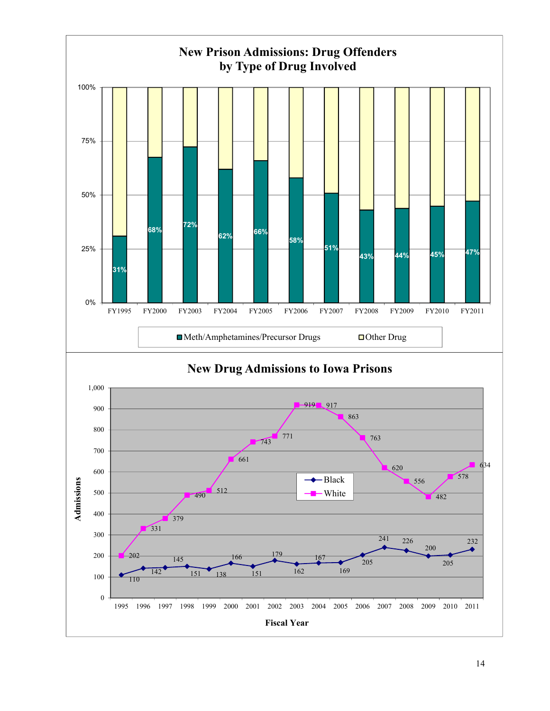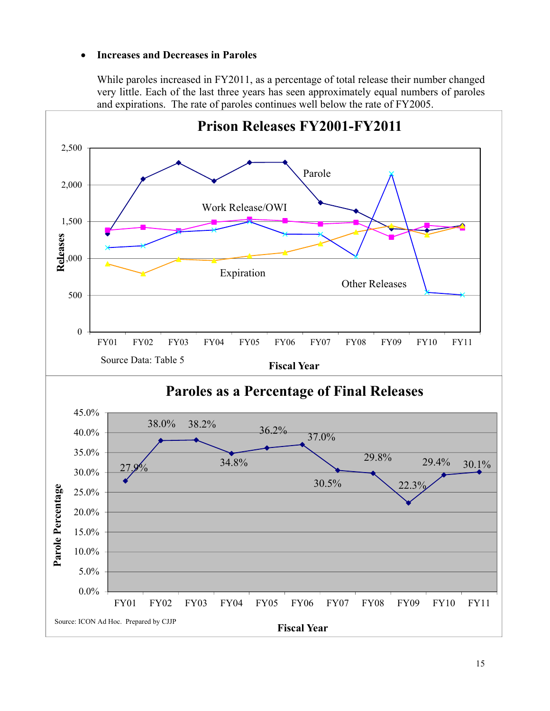### x **Increases and Decreases in Paroles**

While paroles increased in FY2011, as a percentage of total release their number changed very little. Each of the last three years has seen approximately equal numbers of paroles and expirations. The rate of paroles continues well below the rate of FY2005.

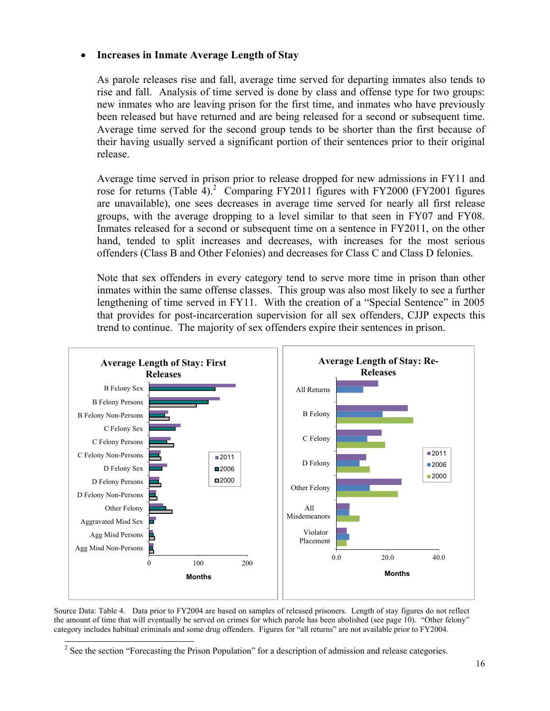#### x **Increases in Inmate Average Length of Stay**

As parole releases rise and fall, average time served for departing inmates also tends to rise and fall. Analysis of time served is done by class and offense type for two groups: new inmates who are leaving prison for the first time, and inmates who have previously been released but have returned and are being released for a second or subsequent time. Average time served for the second group tends to be shorter than the first because of their having usually served a significant portion of their sentences prior to their original release.

Average time served in prison prior to release dropped for new admissions in FY11 and rose for returns (Table 4).<sup>2</sup> Comparing FY2011 figures with FY2000 (FY2001 figures are unavailable), one sees decreases in average time served for nearly all first release groups, with the average dropping to a level similar to that seen in FY07 and FY08. Inmates released for a second or subsequent time on a sentence in FY2011, on the other hand, tended to split increases and decreases, with increases for the most serious offenders (Class B and Other Felonies) and decreases for Class C and Class D felonies.

Note that sex offenders in every category tend to serve more time in prison than other inmates within the same offense classes. This group was also most likely to see a further lengthening of time served in FY11. With the creation of a "Special Sentence" in 2005 that provides for post-incarceration supervision for all sex offenders, CJJP expects this trend to continue. The majority of sex offenders expire their sentences in prison.



Source Data: Table 4. Data prior to FY2004 are based on samples of released prisoners. Length of stay figures do not reflect the amount of time that will eventually be served on crimes for which parole has been abolished (see page 10). "Other felony" category includes habitual criminals and some drug offenders. Figures for "all returns" are not available prior to FY2004.

 $\overline{\phantom{a}}$ <sup>2</sup> See the section "Forecasting the Prison Population" for a description of admission and release categories.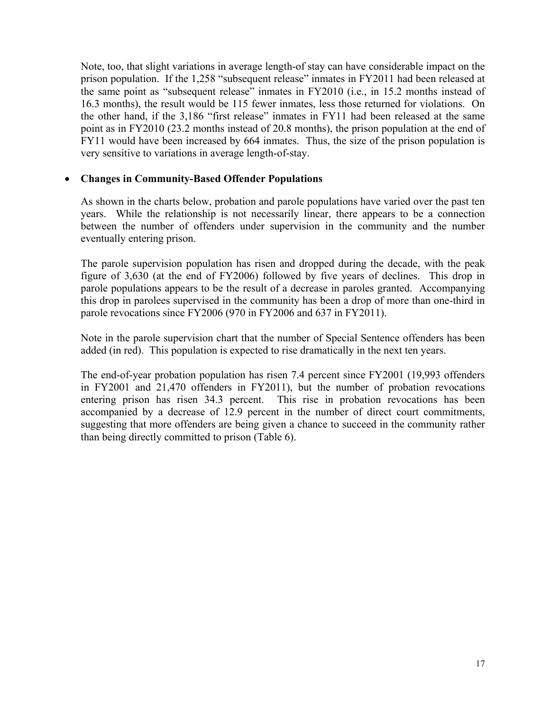Note, too, that slight variations in average length-of stay can have considerable impact on the prison population. If the 1,258 "subsequent release" inmates in FY2011 had been released at the same point as "subsequent release" inmates in FY2010 (i.e., in 15.2 months instead of 16.3 months), the result would be 115 fewer inmates, less those returned for violations. On the other hand, if the 3,186 "first release" inmates in FY11 had been released at the same point as in FY2010 (23.2 months instead of 20.8 months), the prison population at the end of FY11 would have been increased by 664 inmates. Thus, the size of the prison population is very sensitive to variations in average length-of-stay.

#### x **Changes in Community-Based Offender Populations**

As shown in the charts below, probation and parole populations have varied over the past ten years. While the relationship is not necessarily linear, there appears to be a connection between the number of offenders under supervision in the community and the number eventually entering prison.

The parole supervision population has risen and dropped during the decade, with the peak figure of 3,630 (at the end of FY2006) followed by five years of declines. This drop in parole populations appears to be the result of a decrease in paroles granted. Accompanying this drop in parolees supervised in the community has been a drop of more than one-third in parole revocations since FY2006 (970 in FY2006 and 637 in FY2011).

Note in the parole supervision chart that the number of Special Sentence offenders has been added (in red). This population is expected to rise dramatically in the next ten years.

The end-of-year probation population has risen 7.4 percent since FY2001 (19,993 offenders in FY2001 and 21,470 offenders in FY2011), but the number of probation revocations entering prison has risen 34.3 percent. This rise in probation revocations has been accompanied by a decrease of 12.9 percent in the number of direct court commitments, suggesting that more offenders are being given a chance to succeed in the community rather than being directly committed to prison (Table 6).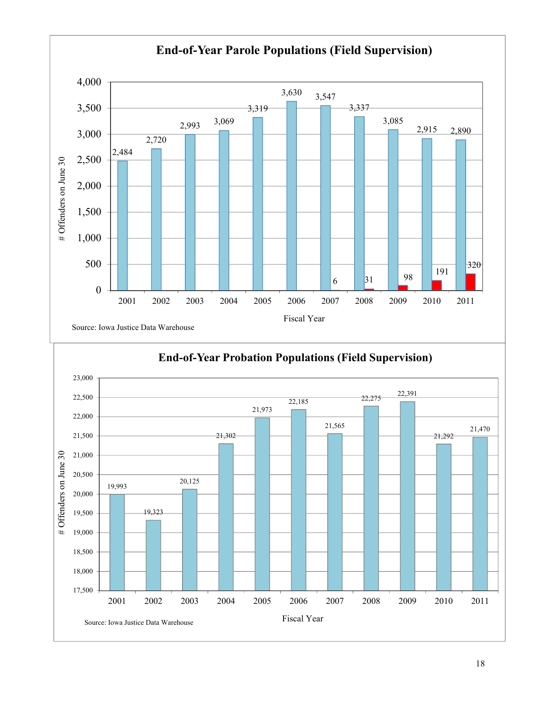



### **End-of-Year Probation Populations (Field Supervision)**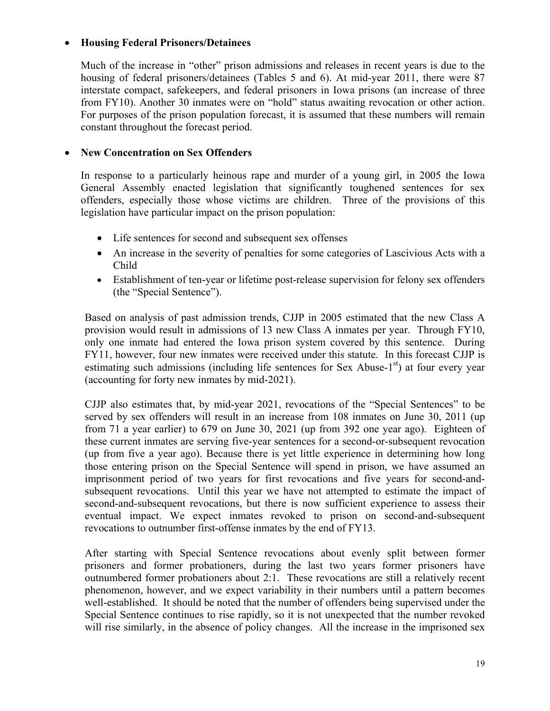### x **Housing Federal Prisoners/Detainees**

Much of the increase in "other" prison admissions and releases in recent years is due to the housing of federal prisoners/detainees (Tables 5 and 6). At mid-year 2011, there were 87 interstate compact, safekeepers, and federal prisoners in Iowa prisons (an increase of three from FY10). Another 30 inmates were on "hold" status awaiting revocation or other action. For purposes of the prison population forecast, it is assumed that these numbers will remain constant throughout the forecast period.

#### x **New Concentration on Sex Offenders**

In response to a particularly heinous rape and murder of a young girl, in 2005 the Iowa General Assembly enacted legislation that significantly toughened sentences for sex offenders, especially those whose victims are children. Three of the provisions of this legislation have particular impact on the prison population:

- Life sentences for second and subsequent sex offenses
- An increase in the severity of penalties for some categories of Lascivious Acts with a Child
- Establishment of ten-year or lifetime post-release supervision for felony sex offenders (the "Special Sentence").

Based on analysis of past admission trends, CJJP in 2005 estimated that the new Class A provision would result in admissions of 13 new Class A inmates per year. Through FY10, only one inmate had entered the Iowa prison system covered by this sentence. During FY11, however, four new inmates were received under this statute. In this forecast CJJP is estimating such admissions (including life sentences for Sex Abuse- $1<sup>st</sup>$ ) at four every year (accounting for forty new inmates by mid-2021).

CJJP also estimates that, by mid-year 2021, revocations of the "Special Sentences" to be served by sex offenders will result in an increase from 108 inmates on June 30, 2011 (up from 71 a year earlier) to 679 on June 30, 2021 (up from 392 one year ago). Eighteen of these current inmates are serving five-year sentences for a second-or-subsequent revocation (up from five a year ago). Because there is yet little experience in determining how long those entering prison on the Special Sentence will spend in prison, we have assumed an imprisonment period of two years for first revocations and five years for second-andsubsequent revocations. Until this year we have not attempted to estimate the impact of second-and-subsequent revocations, but there is now sufficient experience to assess their eventual impact. We expect inmates revoked to prison on second-and-subsequent revocations to outnumber first-offense inmates by the end of FY13.

After starting with Special Sentence revocations about evenly split between former prisoners and former probationers, during the last two years former prisoners have outnumbered former probationers about 2:1. These revocations are still a relatively recent phenomenon, however, and we expect variability in their numbers until a pattern becomes well-established. It should be noted that the number of offenders being supervised under the Special Sentence continues to rise rapidly, so it is not unexpected that the number revoked will rise similarly, in the absence of policy changes. All the increase in the imprisoned sex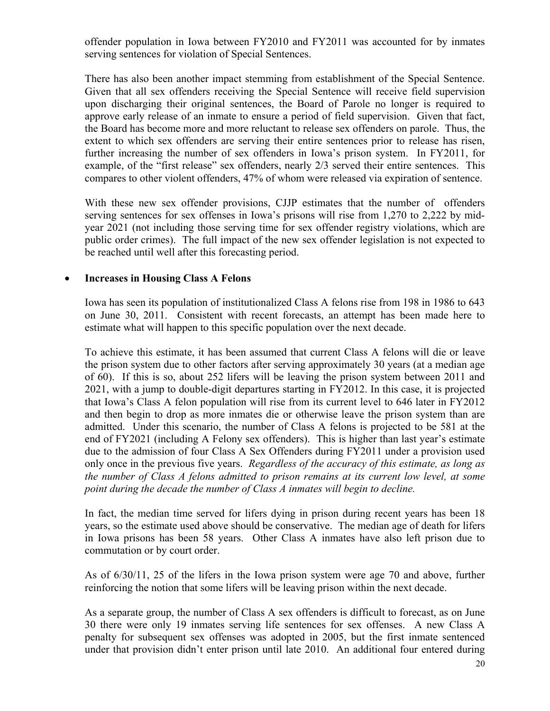offender population in Iowa between FY2010 and FY2011 was accounted for by inmates serving sentences for violation of Special Sentences.

There has also been another impact stemming from establishment of the Special Sentence. Given that all sex offenders receiving the Special Sentence will receive field supervision upon discharging their original sentences, the Board of Parole no longer is required to approve early release of an inmate to ensure a period of field supervision. Given that fact, the Board has become more and more reluctant to release sex offenders on parole. Thus, the extent to which sex offenders are serving their entire sentences prior to release has risen, further increasing the number of sex offenders in Iowa's prison system. In FY2011, for example, of the "first release" sex offenders, nearly 2/3 served their entire sentences. This compares to other violent offenders, 47% of whom were released via expiration of sentence.

With these new sex offender provisions, CJJP estimates that the number of offenders serving sentences for sex offenses in Iowa's prisons will rise from 1,270 to 2,222 by midyear 2021 (not including those serving time for sex offender registry violations, which are public order crimes). The full impact of the new sex offender legislation is not expected to be reached until well after this forecasting period.

#### x **Increases in Housing Class A Felons**

Iowa has seen its population of institutionalized Class A felons rise from 198 in 1986 to 643 on June 30, 2011. Consistent with recent forecasts, an attempt has been made here to estimate what will happen to this specific population over the next decade.

To achieve this estimate, it has been assumed that current Class A felons will die or leave the prison system due to other factors after serving approximately 30 years (at a median age of 60). If this is so, about 252 lifers will be leaving the prison system between 2011 and 2021, with a jump to double-digit departures starting in FY2012. In this case, it is projected that Iowa's Class A felon population will rise from its current level to 646 later in FY2012 and then begin to drop as more inmates die or otherwise leave the prison system than are admitted. Under this scenario, the number of Class A felons is projected to be 581 at the end of FY2021 (including A Felony sex offenders). This is higher than last year's estimate due to the admission of four Class A Sex Offenders during FY2011 under a provision used only once in the previous five years. *Regardless of the accuracy of this estimate, as long as the number of Class A felons admitted to prison remains at its current low level, at some point during the decade the number of Class A inmates will begin to decline.*

In fact, the median time served for lifers dying in prison during recent years has been 18 years, so the estimate used above should be conservative. The median age of death for lifers in Iowa prisons has been 58 years. Other Class A inmates have also left prison due to commutation or by court order.

As of 6/30/11, 25 of the lifers in the Iowa prison system were age 70 and above, further reinforcing the notion that some lifers will be leaving prison within the next decade.

As a separate group, the number of Class A sex offenders is difficult to forecast, as on June 30 there were only 19 inmates serving life sentences for sex offenses. A new Class A penalty for subsequent sex offenses was adopted in 2005, but the first inmate sentenced under that provision didn't enter prison until late 2010. An additional four entered during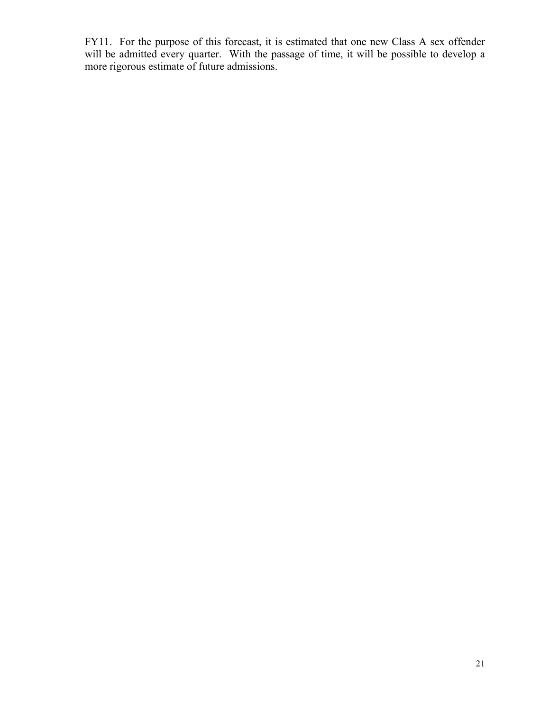FY11. For the purpose of this forecast, it is estimated that one new Class A sex offender will be admitted every quarter. With the passage of time, it will be possible to develop a more rigorous estimate of future admissions.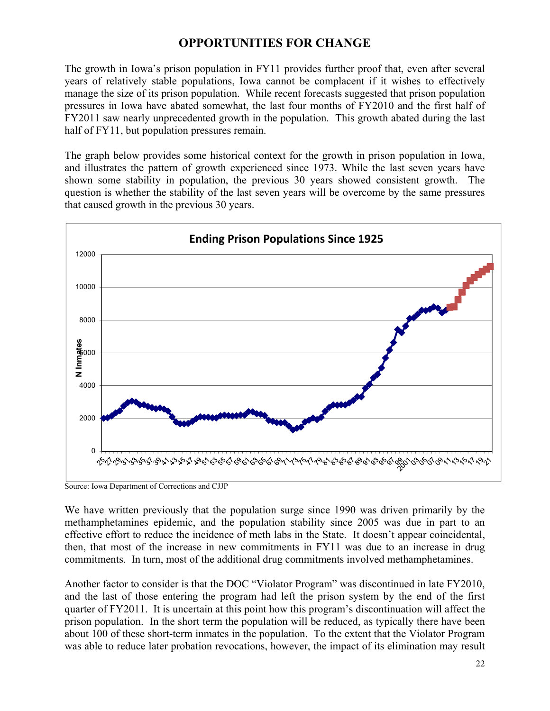### **OPPORTUNITIES FOR CHANGE**

The growth in Iowa's prison population in FY11 provides further proof that, even after several years of relatively stable populations, Iowa cannot be complacent if it wishes to effectively manage the size of its prison population. While recent forecasts suggested that prison population pressures in Iowa have abated somewhat, the last four months of FY2010 and the first half of FY2011 saw nearly unprecedented growth in the population. This growth abated during the last half of FY11, but population pressures remain.

The graph below provides some historical context for the growth in prison population in Iowa, and illustrates the pattern of growth experienced since 1973. While the last seven years have shown some stability in population, the previous 30 years showed consistent growth. The question is whether the stability of the last seven years will be overcome by the same pressures that caused growth in the previous 30 years.



Source: Iowa Department of Corrections and CJJP

We have written previously that the population surge since 1990 was driven primarily by the methamphetamines epidemic, and the population stability since 2005 was due in part to an effective effort to reduce the incidence of meth labs in the State. It doesn't appear coincidental, then, that most of the increase in new commitments in FY11 was due to an increase in drug commitments. In turn, most of the additional drug commitments involved methamphetamines.

Another factor to consider is that the DOC "Violator Program" was discontinued in late FY2010, and the last of those entering the program had left the prison system by the end of the first quarter of FY2011. It is uncertain at this point how this program's discontinuation will affect the prison population. In the short term the population will be reduced, as typically there have been about 100 of these short-term inmates in the population. To the extent that the Violator Program was able to reduce later probation revocations, however, the impact of its elimination may result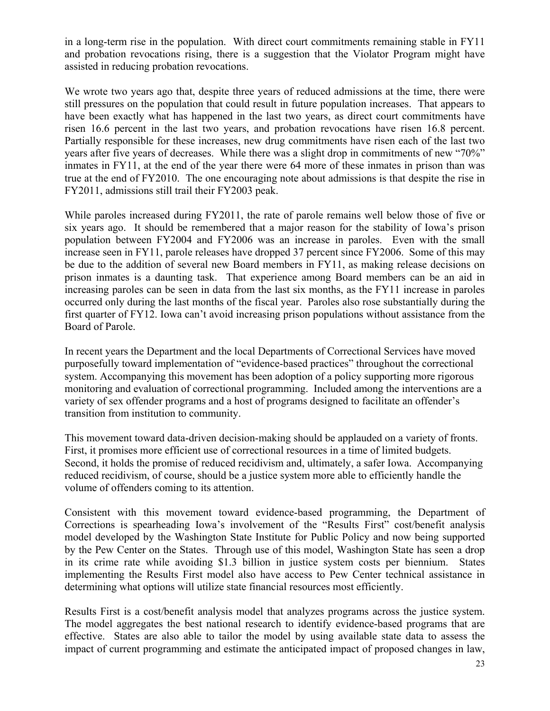in a long-term rise in the population. With direct court commitments remaining stable in FY11 and probation revocations rising, there is a suggestion that the Violator Program might have assisted in reducing probation revocations.

We wrote two years ago that, despite three years of reduced admissions at the time, there were still pressures on the population that could result in future population increases. That appears to have been exactly what has happened in the last two years, as direct court commitments have risen 16.6 percent in the last two years, and probation revocations have risen 16.8 percent. Partially responsible for these increases, new drug commitments have risen each of the last two years after five years of decreases. While there was a slight drop in commitments of new "70%" inmates in FY11, at the end of the year there were 64 more of these inmates in prison than was true at the end of FY2010. The one encouraging note about admissions is that despite the rise in FY2011, admissions still trail their FY2003 peak.

While paroles increased during FY2011, the rate of parole remains well below those of five or six years ago. It should be remembered that a major reason for the stability of Iowa's prison population between FY2004 and FY2006 was an increase in paroles. Even with the small increase seen in FY11, parole releases have dropped 37 percent since FY2006. Some of this may be due to the addition of several new Board members in FY11, as making release decisions on prison inmates is a daunting task. That experience among Board members can be an aid in increasing paroles can be seen in data from the last six months, as the FY11 increase in paroles occurred only during the last months of the fiscal year. Paroles also rose substantially during the first quarter of FY12. Iowa can't avoid increasing prison populations without assistance from the Board of Parole.

In recent years the Department and the local Departments of Correctional Services have moved purposefully toward implementation of "evidence-based practices" throughout the correctional system. Accompanying this movement has been adoption of a policy supporting more rigorous monitoring and evaluation of correctional programming. Included among the interventions are a variety of sex offender programs and a host of programs designed to facilitate an offender's transition from institution to community.

This movement toward data-driven decision-making should be applauded on a variety of fronts. First, it promises more efficient use of correctional resources in a time of limited budgets. Second, it holds the promise of reduced recidivism and, ultimately, a safer Iowa. Accompanying reduced recidivism, of course, should be a justice system more able to efficiently handle the volume of offenders coming to its attention.

Consistent with this movement toward evidence-based programming, the Department of Corrections is spearheading Iowa's involvement of the "Results First" cost/benefit analysis model developed by the Washington State Institute for Public Policy and now being supported by the Pew Center on the States. Through use of this model, Washington State has seen a drop in its crime rate while avoiding \$1.3 billion in justice system costs per biennium. States implementing the Results First model also have access to Pew Center technical assistance in determining what options will utilize state financial resources most efficiently.

Results First is a cost/benefit analysis model that analyzes programs across the justice system. The model aggregates the best national research to identify evidence-based programs that are effective. States are also able to tailor the model by using available state data to assess the impact of current programming and estimate the anticipated impact of proposed changes in law,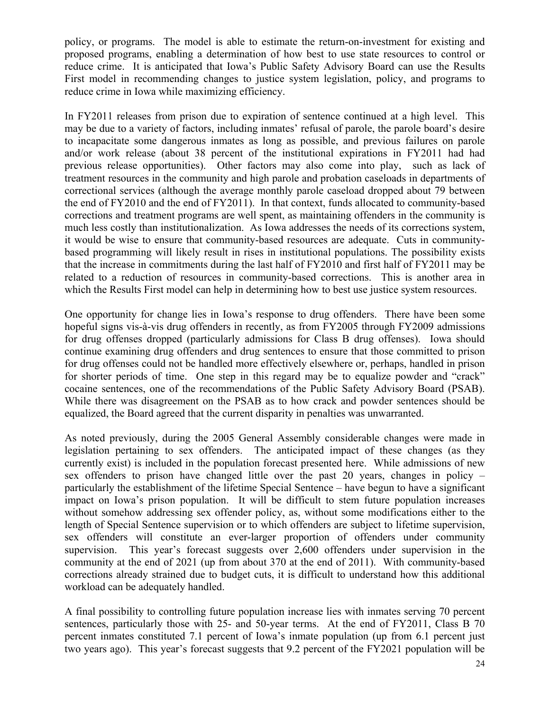policy, or programs. The model is able to estimate the return-on-investment for existing and proposed programs, enabling a determination of how best to use state resources to control or reduce crime. It is anticipated that Iowa's Public Safety Advisory Board can use the Results First model in recommending changes to justice system legislation, policy, and programs to reduce crime in Iowa while maximizing efficiency.

In FY2011 releases from prison due to expiration of sentence continued at a high level. This may be due to a variety of factors, including inmates' refusal of parole, the parole board's desire to incapacitate some dangerous inmates as long as possible, and previous failures on parole and/or work release (about 38 percent of the institutional expirations in FY2011 had had previous release opportunities). Other factors may also come into play, such as lack of treatment resources in the community and high parole and probation caseloads in departments of correctional services (although the average monthly parole caseload dropped about 79 between the end of FY2010 and the end of FY2011). In that context, funds allocated to community-based corrections and treatment programs are well spent, as maintaining offenders in the community is much less costly than institutionalization. As Iowa addresses the needs of its corrections system, it would be wise to ensure that community-based resources are adequate. Cuts in communitybased programming will likely result in rises in institutional populations. The possibility exists that the increase in commitments during the last half of FY2010 and first half of FY2011 may be related to a reduction of resources in community-based corrections. This is another area in which the Results First model can help in determining how to best use justice system resources.

One opportunity for change lies in Iowa's response to drug offenders. There have been some hopeful signs vis-à-vis drug offenders in recently, as from FY2005 through FY2009 admissions for drug offenses dropped (particularly admissions for Class B drug offenses). Iowa should continue examining drug offenders and drug sentences to ensure that those committed to prison for drug offenses could not be handled more effectively elsewhere or, perhaps, handled in prison for shorter periods of time. One step in this regard may be to equalize powder and "crack" cocaine sentences, one of the recommendations of the Public Safety Advisory Board (PSAB). While there was disagreement on the PSAB as to how crack and powder sentences should be equalized, the Board agreed that the current disparity in penalties was unwarranted.

As noted previously, during the 2005 General Assembly considerable changes were made in legislation pertaining to sex offenders. The anticipated impact of these changes (as they currently exist) is included in the population forecast presented here. While admissions of new sex offenders to prison have changed little over the past 20 years, changes in policy – particularly the establishment of the lifetime Special Sentence – have begun to have a significant impact on Iowa's prison population. It will be difficult to stem future population increases without somehow addressing sex offender policy, as, without some modifications either to the length of Special Sentence supervision or to which offenders are subject to lifetime supervision, sex offenders will constitute an ever-larger proportion of offenders under community supervision. This year's forecast suggests over 2,600 offenders under supervision in the community at the end of 2021 (up from about 370 at the end of 2011). With community-based corrections already strained due to budget cuts, it is difficult to understand how this additional workload can be adequately handled.

A final possibility to controlling future population increase lies with inmates serving 70 percent sentences, particularly those with 25- and 50-year terms. At the end of FY2011, Class B 70 percent inmates constituted 7.1 percent of Iowa's inmate population (up from 6.1 percent just two years ago). This year's forecast suggests that 9.2 percent of the FY2021 population will be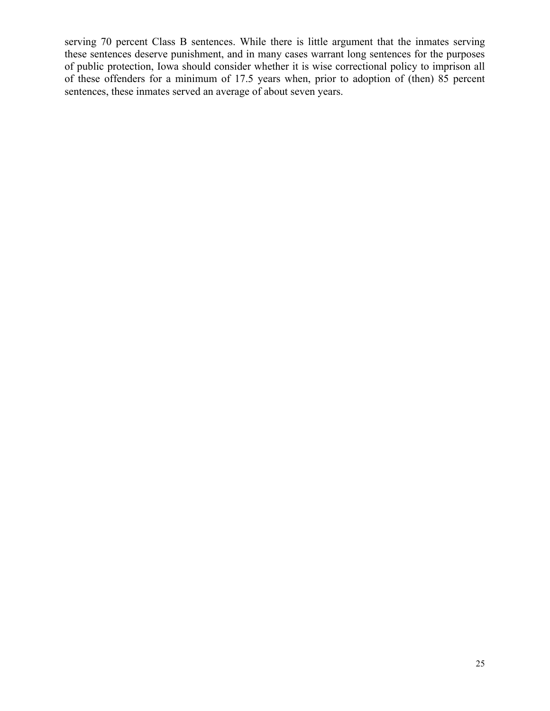serving 70 percent Class B sentences. While there is little argument that the inmates serving these sentences deserve punishment, and in many cases warrant long sentences for the purposes of public protection, Iowa should consider whether it is wise correctional policy to imprison all of these offenders for a minimum of 17.5 years when, prior to adoption of (then) 85 percent sentences, these inmates served an average of about seven years.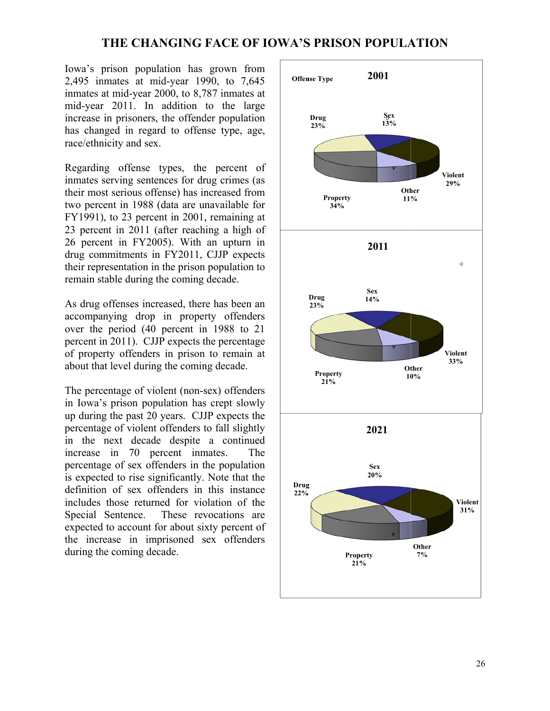### **THE CHANGING FACE OF IOWA'S PRISON POPULATION**

Iowa's prison population has grown from 2,495 inmates at mid-year 1990, to 7,645 inmates at mid-year 2000, to 8,787 inmates at mid-year 2011. In addition to the large increase in prisoners, the offender population has changed in regard to offense type, age, race/ethnicity and sex.

Regarding offense types, the percent of inmates serving sentences for drug crimes (as their most serious offense) has increased from two percent in 1988 (data are unavailable for FY1991), to 23 percent in 2001, remaining at 23 percent in 2011 (after reaching a high of 26 percent in FY2005). With an upturn in drug commitments in FY2011, CJJP expects their representation in the prison population to remain stable during the coming decade.

As drug offenses increased, there has been an accompanying drop in property offenders over the period (40 percent in 1988 to 21 percent in 2011). CJJP expects the percentage of property offenders in prison to remain at about that level during the coming decade.

The percentage of violent (non-sex) offenders in Iowa' s prison pop pulation has s crept slow ly up during the past 20 years. CJJP expects the percentage of violent offenders to fall slightly in the next decade despite a continued increase in 70 percent inmates. The percentage of sex offenders in the population is expected to rise significantly. Note that the definition of sex offenders in this instance includes those returned for violation of the Special Sentence. expected to account for about sixty percent of the increase in imprisoned sex offenders during the coming decade. These revocations are The T

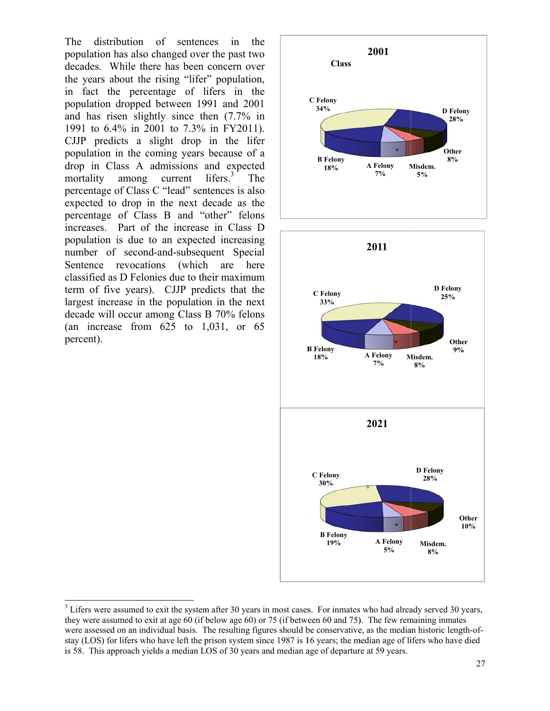The population has also changed over the past two decades. While there has been concern over the years about the rising "lifer" population, in fact the percentage of lifers in the population dropped between 1991 and 2001 and has risen slightly since then  $(7.7\%$  in 1991 to 6.4% in 2001 to 7.3% in FY2011). CJJP predicts a slight drop in the lifer population in the coming years because of a drop in Class A admissions and expected mortality percentage of Class C "lead" sentences is also expected to drop in the next decade as the percentage of Class B and "other" felons increases. Part of the increase in Class D population is due to an expected increasing number of second-and-subsequent Special Sentence revocations (which are here classified as D Felonies due to their maximum classified as D Felonies due to their maximum<br>term of five years). CJJP predicts that the largest increase in the population in the next decade will occur among Class B 70% felons (an increase from  $625$  to  $1,031$ , or  $65$ percent). stribution of sentences in th y among current lifers. $3$  Th he he

 $\overline{\phantom{a}}$ 

 $\overline{\phantom{a}}$ 

l



 $3^3$  Lifers were assumed to exit the system after 30 years in most cases. For inmates who had already served 30 years, they were assumed to exit at age 60 (if below age 60) or 75 (if between 60 and 75). The few remaining inmates were assessed on an individual basis. The resulting figures should be conservative, as the median historic length-ofstay (LOS) for lifers who have left the prison system since 1987 is 16 years; the median age of lifers who have died is 58. This approach yields a median LOS of 30 years and median age of departure at 59 years.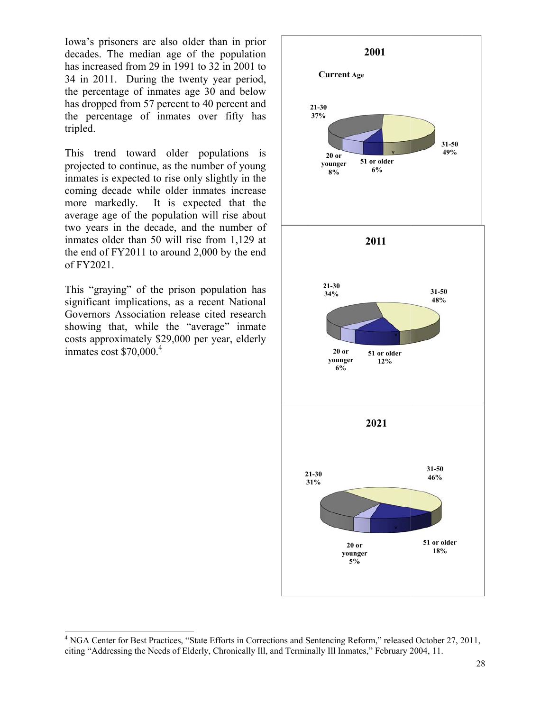Iowa's prisoners are also older than in prior decades. The median age of the population has increased from 29 in 1991 to 32 in 2001 to 34 in 2011. During the twenty year period, the percentage of inmates age 30 and below has dropped from 57 percent to 40 percent and the percentage of inmates over fifty has tripled.

This trend toward older populations is projected to continue, as the number of young inmates is expected to rise only slightly in the coming decade while older inmates increase more m markedly. I average age of the population will rise about two years in the decade, and the number of inmates older than  $50$  will rise from 1,129 at the end of  $FY2011$  to around 2,000 by the end of FY202 21. It is expected that the

This "graying" of the prison population has significant implications, as a recent National Governors Association release cited research showing that, while the "average" inmate costs approximately \$29,000 per year, elderly inmates cost  $$70,000$ <sup>4</sup>

 $\overline{\phantom{a}}$ 

 $\overline{\phantom{a}}$ 

l



<sup>&</sup>lt;sup>4</sup> NGA Center for Best Practices, "State Efforts in Corrections and Sentencing Reform," released October 27, 2011, citing "Addressing the Needs of Elderly, Chronically III, and Terminally III Inmates," February 2004, 11.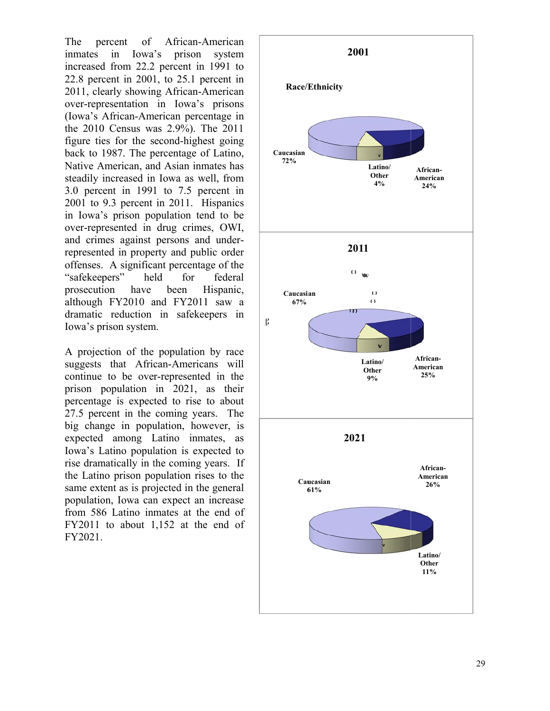The inmates increased d from 22.2 2 percent in 1991 to  $22.8$  percent in  $2001$ , to  $25.1$  percent in 2011, clearly showing African-American over-representation in Iowa's prisons (Iowa's African-American percentage in the 2010 Census was 2.9%). The 2011 figure ties for the second-highest going back to 1 1987. The p percentage o f Latino, Native American, and Asian inmates has steadily increased in Iowa as well, from 3.0 percent in 1991 to 7.5 percent in 2001 to 9.3 percent in 2011. H Hispanics in Iowa's prison population tend to be over-represented in drug crimes, OWI, and crimes against persons and underrepresented in property and public order offenses. A significa ant percenta ge of the "safekeep pers" he prosecuti although FY2010 and FY2011 saw a dramatic reduction in safekee epers in Iowa's prison system. ercent of in Iowa 's prison system have African-A American held for been federal Hispanic,

A projection of the population by race suggests that African-Americans will continue to be over-represented in the prison p population in 2021, as their percentag ge is expec ted to rise to about 27.5 percent in the coming years. The big change in population, however, is expected d among L Latino inm mates, as Iowa's Latino population is expected to rise dramatically in the coming years. If the Latino prison population rises to the same extent as is projected in the general population, Iowa can expect an increase from 586 Latino inmates at the end of  $FY2011$  to about  $1,152$  at the end of FY2021.

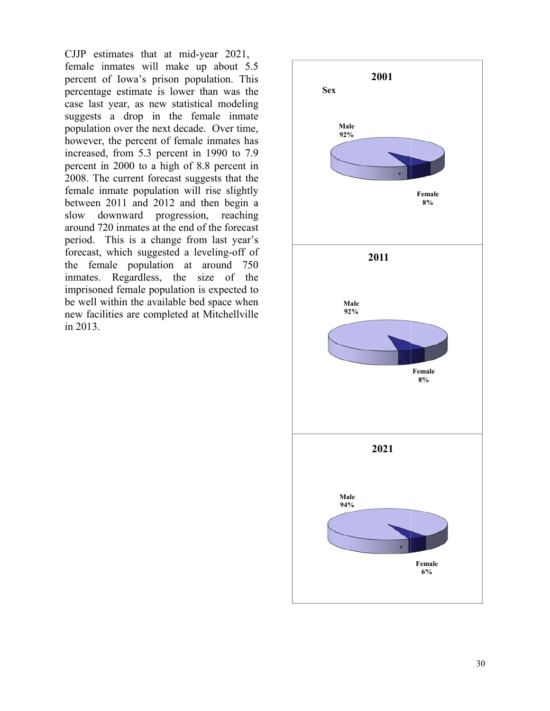CJJP estimates that at mid-year 2021, female inmates will make up about 5.5 female inmates will make up about 5.5 percent of Iowa's prison population. This percentag ge estimate is lower th han was the case last year, as new statistical modeling suggests a drop in the female inmate population over the next decade. Over time, however, the percent of female inmates has increased, from 5.3 percent in 1990 to 7.9 percent i in 2000 to a a high of 8.8 8 percent in 2008. The current forecast suggests that the female inmate population will rise slightly between 2011 and 2 2012 and th hen begin a slow around 720 inmates at the end of the forecast period. This is a change from last year's forecast, which suggested a leveling-off of the female population at around 750 inmates. Regardless, the size of the imprisoned female population is expected to be well within the available bed space when new facilities are completed at Mitchellville in 2013. downward progression, reaching

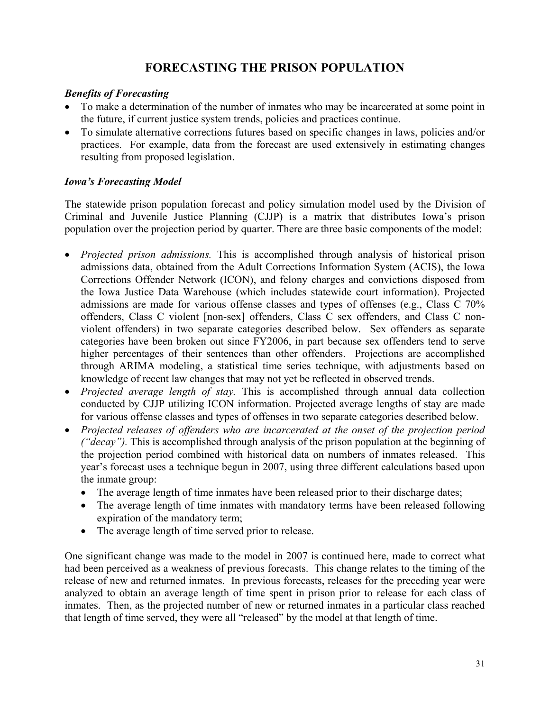### **FORECASTING THE PRISON POPULATION**

### *Benefits of Forecasting*

- To make a determination of the number of inmates who may be incarcerated at some point in the future, if current justice system trends, policies and practices continue.
- x To simulate alternative corrections futures based on specific changes in laws, policies and/or practices. For example, data from the forecast are used extensively in estimating changes resulting from proposed legislation.

### *Iowa's Forecasting Model*

The statewide prison population forecast and policy simulation model used by the Division of Criminal and Juvenile Justice Planning (CJJP) is a matrix that distributes Iowa's prison population over the projection period by quarter. There are three basic components of the model:

- *Projected prison admissions*. This is accomplished through analysis of historical prison admissions data, obtained from the Adult Corrections Information System (ACIS), the Iowa Corrections Offender Network (ICON), and felony charges and convictions disposed from the Iowa Justice Data Warehouse (which includes statewide court information). Projected admissions are made for various offense classes and types of offenses (e.g., Class C 70% offenders, Class C violent [non-sex] offenders, Class C sex offenders, and Class C nonviolent offenders) in two separate categories described below. Sex offenders as separate categories have been broken out since FY2006, in part because sex offenders tend to serve higher percentages of their sentences than other offenders. Projections are accomplished through ARIMA modeling, a statistical time series technique, with adjustments based on knowledge of recent law changes that may not yet be reflected in observed trends.
- *Projected average length of stay*. This is accomplished through annual data collection conducted by CJJP utilizing ICON information. Projected average lengths of stay are made for various offense classes and types of offenses in two separate categories described below.
- x *Projected releases of offenders who are incarcerated at the onset of the projection period ("decay").* This is accomplished through analysis of the prison population at the beginning of the projection period combined with historical data on numbers of inmates released. This year's forecast uses a technique begun in 2007, using three different calculations based upon the inmate group:
	- The average length of time inmates have been released prior to their discharge dates;
	- The average length of time inmates with mandatory terms have been released following expiration of the mandatory term;
	- The average length of time served prior to release.

One significant change was made to the model in 2007 is continued here, made to correct what had been perceived as a weakness of previous forecasts. This change relates to the timing of the release of new and returned inmates. In previous forecasts, releases for the preceding year were analyzed to obtain an average length of time spent in prison prior to release for each class of inmates. Then, as the projected number of new or returned inmates in a particular class reached that length of time served, they were all "released" by the model at that length of time.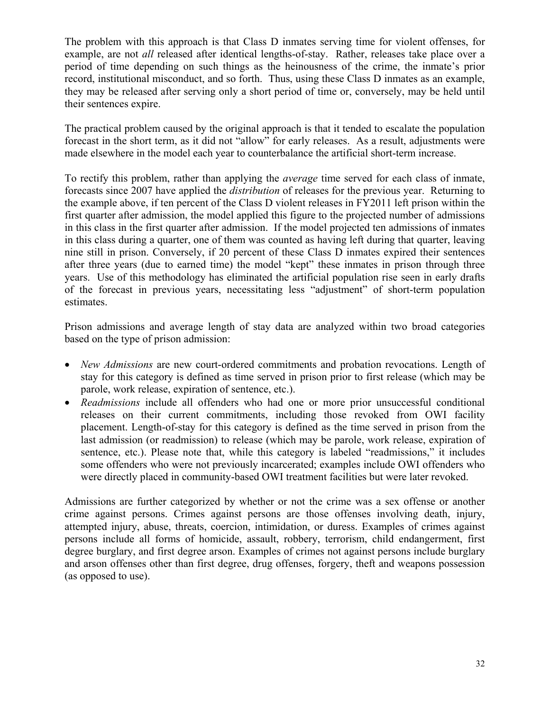The problem with this approach is that Class D inmates serving time for violent offenses, for example, are not *all* released after identical lengths-of-stay. Rather, releases take place over a period of time depending on such things as the heinousness of the crime, the inmate's prior record, institutional misconduct, and so forth. Thus, using these Class D inmates as an example, they may be released after serving only a short period of time or, conversely, may be held until their sentences expire.

The practical problem caused by the original approach is that it tended to escalate the population forecast in the short term, as it did not "allow" for early releases. As a result, adjustments were made elsewhere in the model each year to counterbalance the artificial short-term increase.

To rectify this problem, rather than applying the *average* time served for each class of inmate, forecasts since 2007 have applied the *distribution* of releases for the previous year. Returning to the example above, if ten percent of the Class D violent releases in FY2011 left prison within the first quarter after admission, the model applied this figure to the projected number of admissions in this class in the first quarter after admission. If the model projected ten admissions of inmates in this class during a quarter, one of them was counted as having left during that quarter, leaving nine still in prison. Conversely, if 20 percent of these Class D inmates expired their sentences after three years (due to earned time) the model "kept" these inmates in prison through three years. Use of this methodology has eliminated the artificial population rise seen in early drafts of the forecast in previous years, necessitating less "adjustment" of short-term population estimates.

Prison admissions and average length of stay data are analyzed within two broad categories based on the type of prison admission:

- *New Admissions* are new court-ordered commitments and probation revocations. Length of stay for this category is defined as time served in prison prior to first release (which may be parole, work release, expiration of sentence, etc.).
- *Readmissions* include all offenders who had one or more prior unsuccessful conditional releases on their current commitments, including those revoked from OWI facility placement. Length-of-stay for this category is defined as the time served in prison from the last admission (or readmission) to release (which may be parole, work release, expiration of sentence, etc.). Please note that, while this category is labeled "readmissions," it includes some offenders who were not previously incarcerated; examples include OWI offenders who were directly placed in community-based OWI treatment facilities but were later revoked.

Admissions are further categorized by whether or not the crime was a sex offense or another crime against persons. Crimes against persons are those offenses involving death, injury, attempted injury, abuse, threats, coercion, intimidation, or duress. Examples of crimes against persons include all forms of homicide, assault, robbery, terrorism, child endangerment, first degree burglary, and first degree arson. Examples of crimes not against persons include burglary and arson offenses other than first degree, drug offenses, forgery, theft and weapons possession (as opposed to use).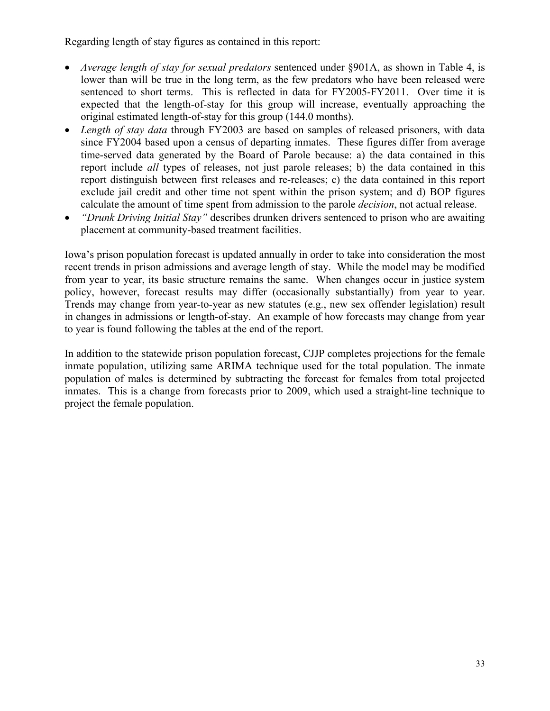Regarding length of stay figures as contained in this report:

- x *Average length of stay for sexual predators* sentenced under §901A, as shown in Table 4, is lower than will be true in the long term, as the few predators who have been released were sentenced to short terms. This is reflected in data for FY2005-FY2011. Over time it is expected that the length-of-stay for this group will increase, eventually approaching the original estimated length-of-stay for this group (144.0 months).
- *Length of stay data* through FY2003 are based on samples of released prisoners, with data since FY2004 based upon a census of departing inmates. These figures differ from average time-served data generated by the Board of Parole because: a) the data contained in this report include *all* types of releases, not just parole releases; b) the data contained in this report distinguish between first releases and re-releases; c) the data contained in this report exclude jail credit and other time not spent within the prison system; and d) BOP figures calculate the amount of time spent from admission to the parole *decision*, not actual release.
- x *"Drunk Driving Initial Stay"* describes drunken drivers sentenced to prison who are awaiting placement at community-based treatment facilities.

Iowa's prison population forecast is updated annually in order to take into consideration the most recent trends in prison admissions and average length of stay. While the model may be modified from year to year, its basic structure remains the same. When changes occur in justice system policy, however, forecast results may differ (occasionally substantially) from year to year. Trends may change from year-to-year as new statutes (e.g., new sex offender legislation) result in changes in admissions or length-of-stay. An example of how forecasts may change from year to year is found following the tables at the end of the report.

In addition to the statewide prison population forecast, CJJP completes projections for the female inmate population, utilizing same ARIMA technique used for the total population. The inmate population of males is determined by subtracting the forecast for females from total projected inmates. This is a change from forecasts prior to 2009, which used a straight-line technique to project the female population.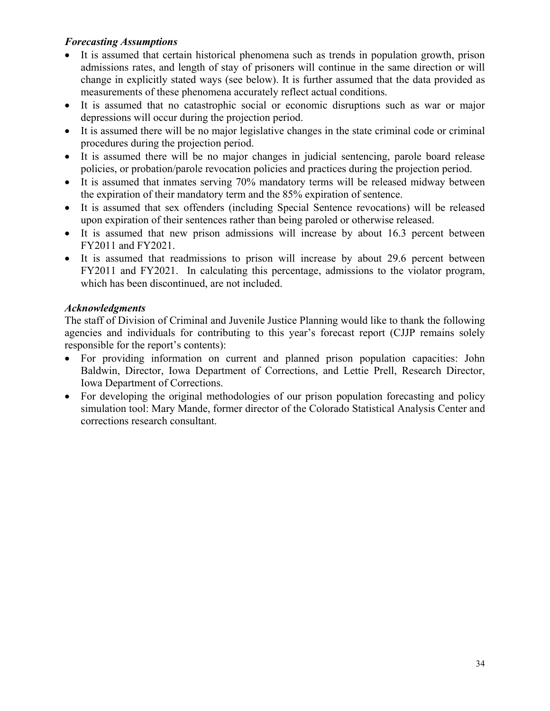### *Forecasting Assumptions*

- It is assumed that certain historical phenomena such as trends in population growth, prison admissions rates, and length of stay of prisoners will continue in the same direction or will change in explicitly stated ways (see below). It is further assumed that the data provided as measurements of these phenomena accurately reflect actual conditions.
- It is assumed that no catastrophic social or economic disruptions such as war or major depressions will occur during the projection period.
- It is assumed there will be no major legislative changes in the state criminal code or criminal procedures during the projection period.
- It is assumed there will be no major changes in judicial sentencing, parole board release policies, or probation/parole revocation policies and practices during the projection period.
- It is assumed that inmates serving 70% mandatory terms will be released midway between the expiration of their mandatory term and the 85% expiration of sentence.
- It is assumed that sex offenders (including Special Sentence revocations) will be released upon expiration of their sentences rather than being paroled or otherwise released.
- It is assumed that new prison admissions will increase by about 16.3 percent between FY2011 and FY2021.
- It is assumed that readmissions to prison will increase by about 29.6 percent between FY2011 and FY2021. In calculating this percentage, admissions to the violator program, which has been discontinued, are not included.

### *Acknowledgments*

The staff of Division of Criminal and Juvenile Justice Planning would like to thank the following agencies and individuals for contributing to this year's forecast report (CJJP remains solely responsible for the report's contents):

- For providing information on current and planned prison population capacities: John Baldwin, Director, Iowa Department of Corrections, and Lettie Prell, Research Director, Iowa Department of Corrections.
- For developing the original methodologies of our prison population forecasting and policy simulation tool: Mary Mande, former director of the Colorado Statistical Analysis Center and corrections research consultant.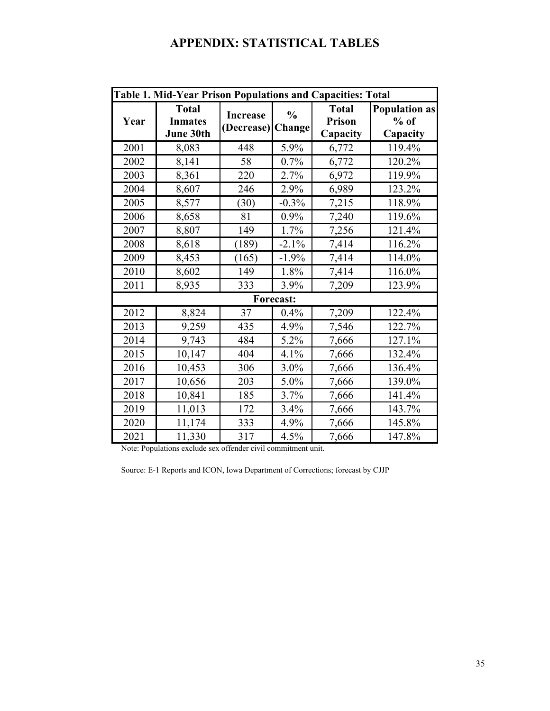# **APPENDIX: STATISTICAL TABLES**

|                  | Table 1. Mid-Year Prison Populations and Capacities: Total |                               |                                |                                           |                                            |  |  |  |
|------------------|------------------------------------------------------------|-------------------------------|--------------------------------|-------------------------------------------|--------------------------------------------|--|--|--|
| Year             | <b>Total</b><br><b>Inmates</b><br>June 30th                | <b>Increase</b><br>(Decrease) | $\frac{0}{0}$<br><b>Change</b> | <b>Total</b><br><b>Prison</b><br>Capacity | <b>Population as</b><br>$%$ of<br>Capacity |  |  |  |
| 2001             | 8,083                                                      | 448                           | 5.9%                           | 6,772                                     | 119.4%                                     |  |  |  |
| 2002             | 8,141                                                      | 58                            | 0.7%                           | 6,772                                     | 120.2%                                     |  |  |  |
| 2003             | 8,361                                                      | 220                           | 2.7%                           | 6,972                                     | 119.9%                                     |  |  |  |
| 2004             | 8,607                                                      | 246                           | 2.9%                           | 6,989                                     | 123.2%                                     |  |  |  |
| 2005             | 8,577                                                      | (30)                          | $-0.3%$                        | 7,215                                     | 118.9%                                     |  |  |  |
| 2006             | 8,658                                                      | 81                            | 0.9%                           | 7,240                                     | 119.6%                                     |  |  |  |
| 2007             | 8,807                                                      | 149                           | 1.7%                           | 7,256                                     | 121.4%                                     |  |  |  |
| 2008             | 8,618                                                      | (189)                         | $-2.1%$                        | 7,414                                     | 116.2%                                     |  |  |  |
| 2009             | 8,453                                                      | (165)                         | $-1.9%$                        | 7,414                                     | 114.0%                                     |  |  |  |
| 2010             | 8,602                                                      | 149                           | 1.8%                           | 7,414                                     | 116.0%                                     |  |  |  |
| 2011             | 8,935                                                      | 333                           | 3.9%                           | 7,209                                     | 123.9%                                     |  |  |  |
| <b>Forecast:</b> |                                                            |                               |                                |                                           |                                            |  |  |  |
| 2012             | 8,824                                                      | 37                            | 0.4%                           | 7,209                                     | 122.4%                                     |  |  |  |
| 2013             | 9,259                                                      | 435                           | 4.9%                           | 7,546                                     | 122.7%                                     |  |  |  |
| 2014             | 9,743                                                      | 484                           | 5.2%                           | 7,666                                     | 127.1%                                     |  |  |  |
| 2015             | 10,147                                                     | 404                           | 4.1%                           | 7,666                                     | 132.4%                                     |  |  |  |
| 2016             | 10,453                                                     | 306                           | 3.0%                           | 7,666                                     | 136.4%                                     |  |  |  |
| 2017             | 10,656                                                     | 203                           | 5.0%                           | 7,666                                     | 139.0%                                     |  |  |  |
| 2018             | 10,841                                                     | 185                           | 3.7%                           | 7,666                                     | 141.4%                                     |  |  |  |
| 2019             | 11,013                                                     | 172                           | 3.4%                           | 7,666                                     | 143.7%                                     |  |  |  |
| 2020             | 11,174                                                     | 333                           | 4.9%                           | 7,666                                     | 145.8%                                     |  |  |  |
| 2021             | 11,330                                                     | 317                           | 4.5%                           | 7,666                                     | 147.8%                                     |  |  |  |

Note: Populations exclude sex offender civil commitment unit.

Source: E-1 Reports and ICON, Iowa Department of Corrections; forecast by CJJP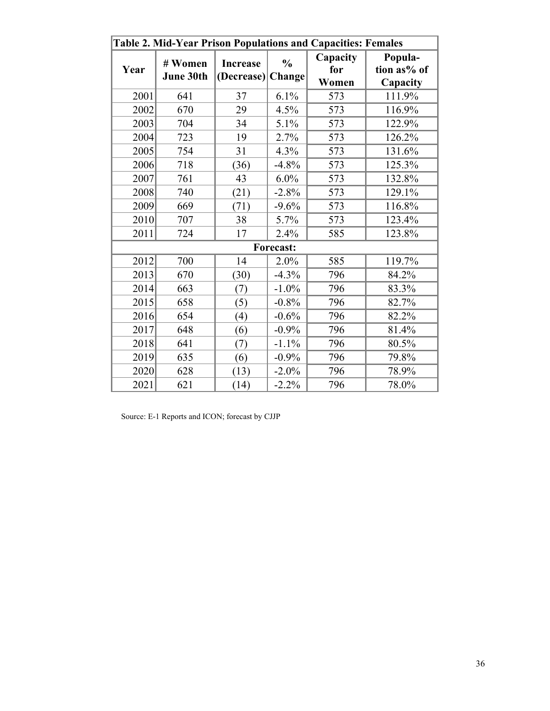|                  | Table 2. Mid-Year Prison Populations and Capacities: Females |                                      |               |                          |                                    |  |  |  |
|------------------|--------------------------------------------------------------|--------------------------------------|---------------|--------------------------|------------------------------------|--|--|--|
| Year             | # Women<br>June 30th                                         | <b>Increase</b><br>(Decrease) Change | $\frac{0}{0}$ | Capacity<br>for<br>Women | Popula-<br>tion as% of<br>Capacity |  |  |  |
| 2001             | 641                                                          | 37                                   | 6.1%          | 573                      | 111.9%                             |  |  |  |
| 2002             | 670                                                          | 29                                   | 4.5%          | 573                      | 116.9%                             |  |  |  |
| 2003             | 704                                                          | 34                                   | 5.1%          | 573                      | 122.9%                             |  |  |  |
| 2004             | 723                                                          | 19                                   | 2.7%          | 573                      | 126.2%                             |  |  |  |
| 2005             | 754                                                          | 31                                   | 4.3%          | 573                      | 131.6%                             |  |  |  |
| 2006             | 718                                                          | (36)                                 | $-4.8%$       | 573                      | 125.3%                             |  |  |  |
| 2007             | 761                                                          | 43                                   | 6.0%          | 573                      | 132.8%                             |  |  |  |
| 2008             | 740                                                          | (21)                                 | $-2.8%$       | 573                      | 129.1%                             |  |  |  |
| 2009             | 669                                                          | (71)                                 | $-9.6%$       | 573                      | 116.8%                             |  |  |  |
| 2010             | 707                                                          | 38                                   | 5.7%          | 573                      | 123.4%                             |  |  |  |
| 2011             | 724                                                          | 17                                   | 2.4%          | 585                      | 123.8%                             |  |  |  |
| <b>Forecast:</b> |                                                              |                                      |               |                          |                                    |  |  |  |
| 2012             | 700                                                          | 14                                   | 2.0%          | 585                      | 119.7%                             |  |  |  |
| 2013             | 670                                                          | (30)                                 | $-4.3%$       | 796                      | 84.2%                              |  |  |  |
| 2014             | 663                                                          | (7)                                  | $-1.0\%$      | 796                      | 83.3%                              |  |  |  |
| 2015             | 658                                                          | (5)                                  | $-0.8%$       | 796                      | 82.7%                              |  |  |  |
| 2016             | 654                                                          | (4)                                  | $-0.6%$       | 796                      | 82.2%                              |  |  |  |
| 2017             | 648                                                          | (6)                                  | $-0.9%$       | 796                      | 81.4%                              |  |  |  |
| 2018             | 641                                                          | (7)                                  | $-1.1%$       | 796                      | 80.5%                              |  |  |  |
| 2019             | 635                                                          | (6)                                  | $-0.9%$       | 796                      | 79.8%                              |  |  |  |
| 2020             | 628                                                          | (13)                                 | $-2.0\%$      | 796                      | 78.9%                              |  |  |  |
| 2021             | 621                                                          | (14)                                 | $-2.2%$       | 796                      | 78.0%                              |  |  |  |

Source: E-1 Reports and ICON; forecast by CJJP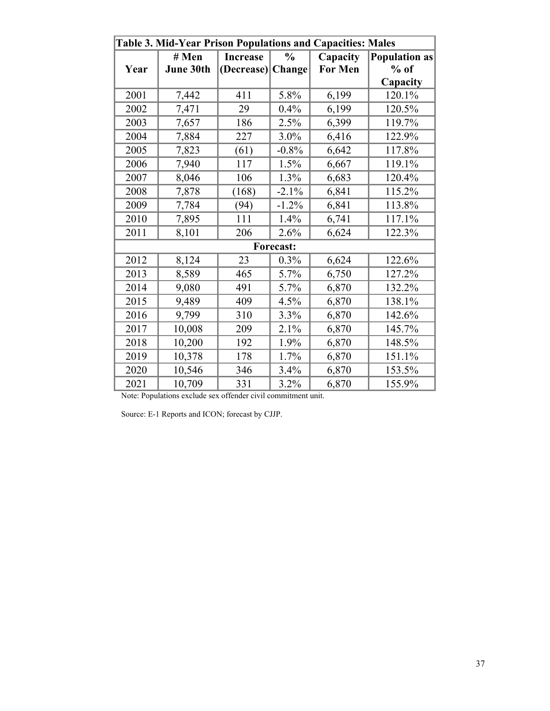|                  | Table 3. Mid-Year Prison Populations and Capacities: Males |                   |               |                |                      |  |  |  |
|------------------|------------------------------------------------------------|-------------------|---------------|----------------|----------------------|--|--|--|
|                  | # Men                                                      | <b>Increase</b>   | $\frac{0}{0}$ | Capacity       | <b>Population as</b> |  |  |  |
| Year             | June 30th                                                  | (Decrease) Change |               | <b>For Men</b> | $%$ of               |  |  |  |
|                  |                                                            |                   |               |                | Capacity             |  |  |  |
| 2001             | 7,442                                                      | 411               | 5.8%          | 6,199          | 120.1%               |  |  |  |
| 2002             | 7,471                                                      | 29                | 0.4%          | 6,199          | 120.5%               |  |  |  |
| 2003             | 7,657                                                      | 186               | 2.5%          | 6,399          | 119.7%               |  |  |  |
| 2004             | 7,884                                                      | 227               | $3.0\%$       | 6,416          | 122.9%               |  |  |  |
| 2005             | 7,823                                                      | (61)              | $-0.8%$       | 6,642          | 117.8%               |  |  |  |
| 2006             | 7,940                                                      | 117               | 1.5%          | 6,667          | 119.1%               |  |  |  |
| 2007             | 8,046                                                      | 106               | 1.3%          | 6,683          | 120.4%               |  |  |  |
| 2008             | 7,878                                                      | (168)             | $-2.1%$       | 6,841          | 115.2%               |  |  |  |
| 2009             | 7,784                                                      | (94)              | $-1.2%$       | 6,841          | 113.8%               |  |  |  |
| 2010             | 7,895                                                      | 111               | 1.4%          | 6,741          | 117.1%               |  |  |  |
| 2011             | 8,101                                                      | 206               | 2.6%          | 6,624          | 122.3%               |  |  |  |
| <b>Forecast:</b> |                                                            |                   |               |                |                      |  |  |  |
| 2012             | 8,124                                                      | 23                | 0.3%          | 6,624          | 122.6%               |  |  |  |
| 2013             | 8,589                                                      | 465               | 5.7%          | 6,750          | 127.2%               |  |  |  |
| 2014             | 9,080                                                      | 491               | 5.7%          | 6,870          | 132.2%               |  |  |  |
| 2015             | 9,489                                                      | 409               | 4.5%          | 6,870          | 138.1%               |  |  |  |
| 2016             | 9,799                                                      | 310               | 3.3%          | 6,870          | 142.6%               |  |  |  |
| 2017             | 10,008                                                     | 209               | 2.1%          | 6,870          | 145.7%               |  |  |  |
| 2018             | 10,200                                                     | 192               | 1.9%          | 6,870          | 148.5%               |  |  |  |
| 2019             | 10,378                                                     | 178               | 1.7%          | 6,870          | 151.1%               |  |  |  |
| 2020             | 10,546                                                     | 346               | 3.4%          | 6,870          | 153.5%               |  |  |  |
| 2021             | 10,709                                                     | 331               | 3.2%          | 6,870          | 155.9%               |  |  |  |

Note: Populations exclude sex offender civil commitment unit.

Source: E-1 Reports and ICON; forecast by CJJP.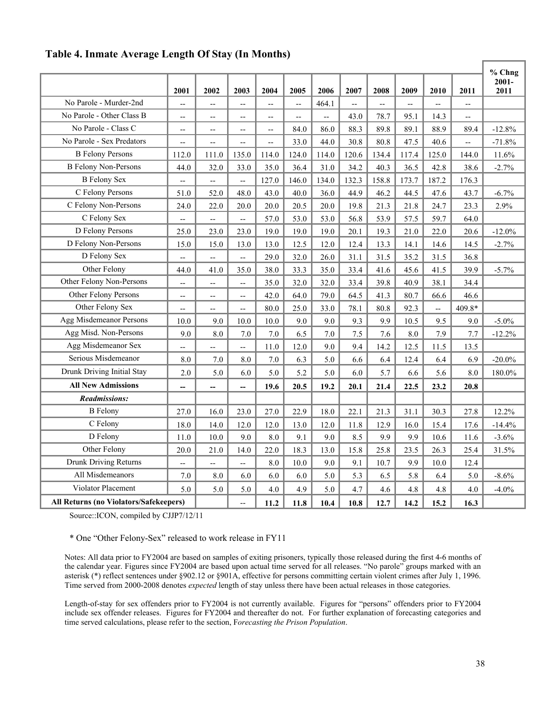#### **Table 4. Inmate Average Length Of Stay (In Months)**

|                                               |                          |                          |                |                |                                  |                                  |                        |            |            |            |            | % Chng           |
|-----------------------------------------------|--------------------------|--------------------------|----------------|----------------|----------------------------------|----------------------------------|------------------------|------------|------------|------------|------------|------------------|
|                                               |                          |                          |                | 2004           |                                  | 2006                             |                        |            |            |            |            | $2001 -$<br>2011 |
| No Parole - Murder-2nd                        | 2001<br>--               | 2002<br>$\overline{a}$   | 2003<br>--     | $\overline{a}$ | 2005<br>$\overline{a}$           | 464.1                            | 2007<br>$\overline{a}$ | 2008<br>-- | 2009<br>-- | 2010<br>-- | 2011<br>-- |                  |
| No Parole - Other Class B                     |                          |                          |                |                |                                  |                                  | 43.0                   | 78.7       | 95.1       | 14.3       |            |                  |
| No Parole - Class C                           | $\overline{\phantom{m}}$ | $\overline{\phantom{a}}$ | $-$            | $-$            | $\overline{\phantom{a}}$<br>84.0 | $\overline{\phantom{a}}$<br>86.0 | 88.3                   | 89.8       | 89.1       | 88.9       | --<br>89.4 | $-12.8%$         |
| No Parole - Sex Predators                     | --                       | --                       | $-$            | $-$            |                                  |                                  | 30.8                   |            |            | 40.6       |            |                  |
| <b>B</b> Felony Persons                       | --                       | $-$                      | $-$            | $\overline{a}$ | 33.0                             | 44.0                             |                        | 80.8       | 47.5       |            | --         | $-71.8%$         |
|                                               | 112.0                    | 111.0                    | 135.0          | 114.0          | 124.0                            | 114.0                            | 120.6                  | 134.4      | 117.4      | 125.0      | 144.0      | 11.6%            |
| <b>B</b> Felony Non-Persons                   | 44.0                     | 32.0                     | 33.0           | 35.0           | 36.4                             | 31.0                             | 34.2                   | 40.3       | 36.5       | 42.8       | 38.6       | $-2.7%$          |
| <b>B</b> Felony Sex                           | --                       | $\overline{a}$           | --             | 127.0          | 146.0                            | 134.0                            | 132.3                  | 158.8      | 173.7      | 187.2      | 176.3      |                  |
| C Felony Persons                              | 51.0                     | 52.0                     | 48.0           | 43.0           | 40.0                             | 36.0                             | 44.9                   | 46.2       | 44.5       | 47.6       | 43.7       | $-6.7%$          |
| C Felony Non-Persons                          | 24.0                     | 22.0                     | 20.0           | 20.0           | 20.5                             | 20.0                             | 19.8                   | 21.3       | 21.8       | 24.7       | 23.3       | 2.9%             |
| C Felony Sex                                  | --                       | --                       | $-$            | 57.0           | 53.0                             | 53.0                             | 56.8                   | 53.9       | 57.5       | 59.7       | 64.0       |                  |
| D Felony Persons                              | 25.0                     | 23.0                     | 23.0           | 19.0           | 19.0                             | 19.0                             | 20.1                   | 19.3       | 21.0       | 22.0       | 20.6       | $-12.0%$         |
| D Felony Non-Persons                          | 15.0                     | 15.0                     | 13.0           | 13.0           | 12.5                             | 12.0                             | 12.4                   | 13.3       | 14.1       | 14.6       | 14.5       | $-2.7%$          |
| D Felony Sex                                  | $\overline{a}$           | $\overline{a}$           | ÷-             | 29.0           | 32.0                             | 26.0                             | 31.1                   | 31.5       | 35.2       | 31.5       | 36.8       |                  |
| Other Felony                                  | 44.0                     | 41.0                     | 35.0           | 38.0           | 33.3                             | 35.0                             | 33.4                   | 41.6       | 45.6       | 41.5       | 39.9       | $-5.7%$          |
| Other Felony Non-Persons                      | --                       | --                       | $\overline{a}$ | 35.0           | 32.0                             | 32.0                             | 33.4                   | 39.8       | 40.9       | 38.1       | 34.4       |                  |
| Other Felony Persons                          | $\overline{\phantom{a}}$ | --                       | $-$            | 42.0           | 64.0                             | 79.0                             | 64.5                   | 41.3       | 80.7       | 66.6       | 46.6       |                  |
| Other Felony Sex                              | --                       | --                       | --             | 80.0           | 25.0                             | 33.0                             | 78.1                   | 80.8       | 92.3       | Ξ.         | 409.8*     |                  |
| Agg Misdemeanor Persons                       | 10.0                     | 9.0                      | 10.0           | 10.0           | 9.0                              | 9.0                              | 9.3                    | 9.9        | 10.5       | 9.5        | 9.0        | $-5.0\%$         |
| Agg Misd. Non-Persons                         | 9.0                      | 8.0                      | 7.0            | 7.0            | 6.5                              | $7.0\,$                          | 7.5                    | 7.6        | 8.0        | 7.9        | 7.7        | $-12.2%$         |
| Agg Misdemeanor Sex                           | --                       | --                       | ÷-             | 11.0           | 12.0                             | 9.0                              | 9.4                    | 14.2       | 12.5       | 11.5       | 13.5       |                  |
| Serious Misdemeanor                           | 8.0                      | 7.0                      | 8.0            | 7.0            | 6.3                              | 5.0                              | 6.6                    | 6.4        | 12.4       | 6.4        | 6.9        | $-20.0\%$        |
| Drunk Driving Initial Stay                    | 2.0                      | 5.0                      | 6.0            | 5.0            | 5.2                              | 5.0                              | 6.0                    | 5.7        | 6.6        | 5.6        | 8.0        | 180.0%           |
| <b>All New Admissions</b>                     | --                       | --                       | --             | 19.6           | 20.5                             | 19.2                             | 20.1                   | 21.4       | 22.5       | 23.2       | 20.8       |                  |
| <b>Readmissions:</b>                          |                          |                          |                |                |                                  |                                  |                        |            |            |            |            |                  |
| <b>B</b> Felony                               | 27.0                     | 16.0                     | 23.0           | 27.0           | 22.9                             | 18.0                             | 22.1                   | 21.3       | 31.1       | 30.3       | 27.8       | 12.2%            |
| C Felony                                      | 18.0                     | 14.0                     | 12.0           | 12.0           | 13.0                             | 12.0                             | 11.8                   | 12.9       | 16.0       | 15.4       | 17.6       | $-14.4%$         |
| D Felony                                      | 11.0                     | 10.0                     | 9.0            | 8.0            | 9.1                              | 9.0                              | 8.5                    | 9.9        | 9.9        | 10.6       | 11.6       | $-3.6%$          |
| Other Felony                                  | 20.0                     | 21.0                     | 14.0           | 22.0           | 18.3                             | 13.0                             | 15.8                   | 25.8       | 23.5       | 26.3       | 25.4       | 31.5%            |
| Drunk Driving Returns                         | --                       | -−                       | -−             | 8.0            | 10.0                             | 9.0                              | 9.1                    | 10.7       | 9.9        | 10.0       | 12.4       |                  |
| All Misdemeanors                              | 7.0                      | 8.0                      | 6.0            | 6.0            | 6.0                              | 5.0                              | 5.3                    | 6.5        | 5.8        | 6.4        | 5.0        | $-8.6%$          |
| Violator Placement                            | 5.0                      | 5.0                      | 5.0            | 4.0            | 4.9                              | 5.0                              | 4.7                    | 4.6        | 4.8        | 4.8        | 4.0        | $-4.0%$          |
| <b>All Returns (no Violators/Safekeepers)</b> |                          |                          | --             | 11.2           | 11.8                             | 10.4                             | 10.8                   | 12.7       | 14.2       | 15.2       | 16.3       |                  |

Source::ICON, compiled by CJJP7/12/11

\* One "Other Felony-Sex" released to work release in FY11

Notes: All data prior to FY2004 are based on samples of exiting prisoners, typically those released during the first 4-6 months of the calendar year. Figures since FY2004 are based upon actual time served for all releases. "No parole" groups marked with an asterisk (\*) reflect sentences under §902.12 or §901A, effective for persons committing certain violent crimes after July 1, 1996. Time served from 2000-2008 denotes *expected* length of stay unless there have been actual releases in those categories.

Length-of-stay for sex offenders prior to FY2004 is not currently available. Figures for "persons" offenders prior to FY2004 include sex offender releases. Figures for FY2004 and thereafter do not. For further explanation of forecasting categories and time served calculations, please refer to the section, F*orecasting the Prison Population*.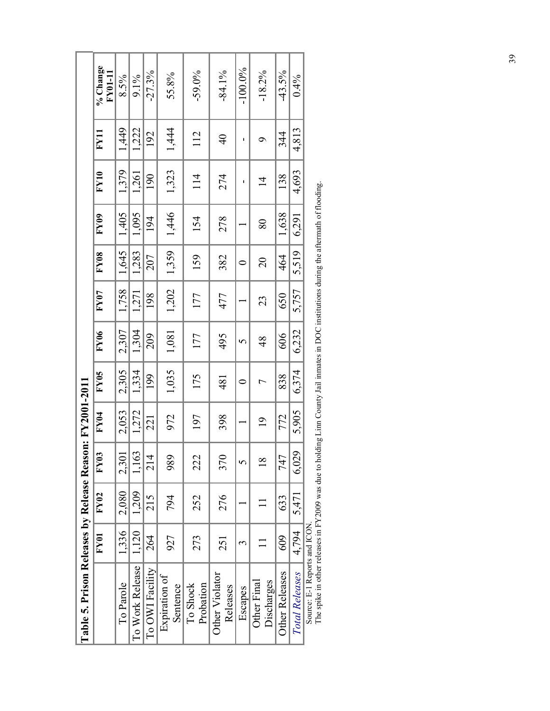| Table 5. Prison Releases by Release Reason: FY2001-2011 |       |       |                |                  |                  |               |             |                |       |                |                |                            |
|---------------------------------------------------------|-------|-------|----------------|------------------|------------------|---------------|-------------|----------------|-------|----------------|----------------|----------------------------|
|                                                         | FY01  | FY02  | <b>FY03</b>    | FY <sub>04</sub> | FY <sub>05</sub> | FY06          | <b>FY07</b> | FY08           | FY09  | $\bf FY10$     | $\bf{E}$       | % Change<br><b>FY01-11</b> |
| To Parole                                               | 1,336 | 2,080 | 2,301          | 2,053            | 2,305            | 2,307         | 1,758       | 1,645          | 1,405 | 1,379          | 1,449          | 8.5%                       |
| To Work Release                                         | 1,120 | 1,209 | 1,163          | 1,272            | 1,334            | 1,304         | 1,271       | 1,283          | 1,095 | 1,261          | 1,222          | 9.1%                       |
| To OWI Facility                                         | 264   | 215   | 214            | 221              | 199              | 209           | 198         | 207            | 194   | 190            | 192            | $-27.3%$                   |
| Expiration of<br>Sentence                               | 927   | 794   | 989            | 972              | 1,035            | 1,081         | 1,202       | 1,359          | 1,446 | 1,323          | 1,444          | 55.8%                      |
| Probation<br>To Shock                                   | 273   | 252   | 222            | 197              | 175              | 177           | 177         | 159            | 154   | 114            | 112            | $-59.0%$                   |
| Other Violator<br>Releases                              | 251   | 276   | 370            | 398              | 481              | 495           | 477         | 382            | 278   | 274            | $\overline{4}$ | $-84.1\%$                  |
| Escapes                                                 | ᡤ     |       | 5              |                  | $\circ$          | 5             |             | $\circ$        |       |                |                | $-100.0\%$                 |
| Discharges<br>Other Final                               |       |       | $\frac{8}{18}$ | $\overline{19}$  |                  | $\frac{8}{3}$ | 23          | $\overline{c}$ | 80    | $\overline{1}$ |                | $-18.2%$                   |
| <b>Other Releases</b>                                   | 609   | 633   | 747            | 772              | 838              | 606           | 650         | 464            | 1,638 | 138            | 344            | $-43.5%$                   |
| <b>Total Releases</b>                                   | 4,794 | 5,471 | 6,029          | 5,905            | 6,374            | 6,232         | 5,757       | 5,519          | 6,291 | 4,693          | 4,813          | 0.4%                       |
| Source: E-1 Reports and ICON                            |       |       |                |                  |                  |               |             |                |       |                |                |                            |

The spike in other releases in FY2009 was due to holding Linn County Jail inmates in DOC institutions during the aftermath of flooding. The spike in other releases in FY2009 was due to holding Linn County Jail inmates in DOC institutions during the aftermath of flooding.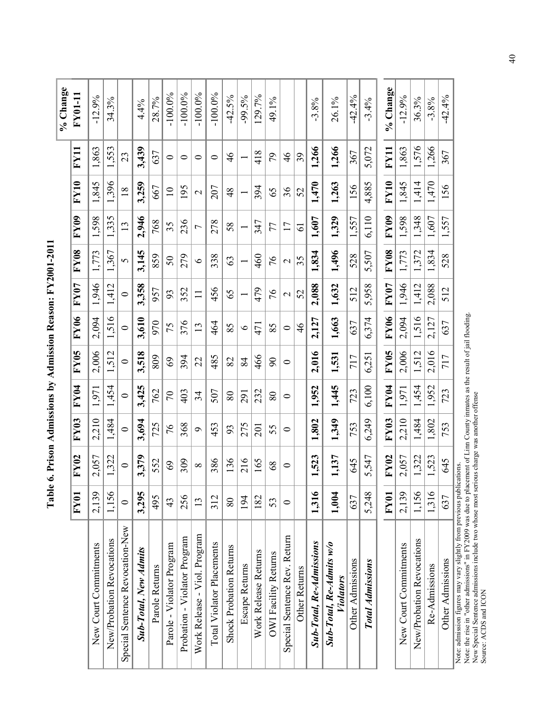| 1,396<br>3,259<br>195<br>667<br>$\overline{18}$<br>$\supseteq$<br>2,946<br>1,335<br>236<br>768<br>35<br>13<br>3,145<br>1,367<br>279<br>859<br>50<br>$\sigma$<br>1,412<br>3,358<br>352<br>957<br>93<br>$\bullet$<br>1,516<br>3,610<br>376<br>970<br>75<br>$\circ$<br>3,518<br>1,512<br>394<br>809<br>69<br>$\bullet$ |
|---------------------------------------------------------------------------------------------------------------------------------------------------------------------------------------------------------------------------------------------------------------------------------------------------------------------|
|                                                                                                                                                                                                                                                                                                                     |
|                                                                                                                                                                                                                                                                                                                     |
|                                                                                                                                                                                                                                                                                                                     |
| 3,425                                                                                                                                                                                                                                                                                                               |
| 762<br>403<br>$\mathcal{L}$<br>725                                                                                                                                                                                                                                                                                  |
| 368<br>76<br>309<br>69                                                                                                                                                                                                                                                                                              |
| 256                                                                                                                                                                                                                                                                                                                 |
| Probation - Violator Program                                                                                                                                                                                                                                                                                        |

**Table 6. Prison Admissions by Admission Reason: FY2001-2011**  Table 6. Prison Admissions by Admission Reason: FY2001-2011

Note: admission figures may vary slightly from previous publications.

Note: admission figures may vary slightly from previous publications.<br>Note: the rise in "other admissions" in FY2009 was due to placement of Linn County inmates as the result of jail flooding.<br>New Special Sentence admissio Note: the rise in "other admissions" in FY2009 was due to placement of Linn County inmates as the result of jail flooding. New Special Sentence admissions include two whose most serious charge was another offense Source: ACDS and ICON

40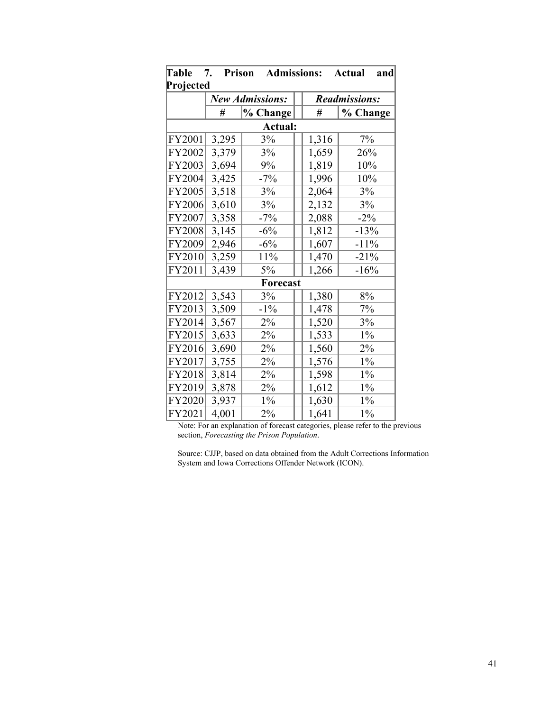| Table     | 7.<br><b>Prison</b> | <b>Admissions:</b>     |  |       | <b>Actual</b><br>and |  |
|-----------|---------------------|------------------------|--|-------|----------------------|--|
| Projected |                     |                        |  |       |                      |  |
|           |                     | <b>New Admissions:</b> |  |       | <b>Readmissions:</b> |  |
|           | #                   | % Change               |  | #     | % Change             |  |
|           |                     | Actual:                |  |       |                      |  |
| FY2001    | 3,295               | 3%                     |  | 1,316 | 7%                   |  |
| FY2002    | 3,379               | 3%                     |  | 1,659 | 26%                  |  |
| FY2003    | 3,694               | 9%                     |  | 1,819 | 10%                  |  |
| FY2004    | 3,425               | $-7%$                  |  | 1,996 | 10%                  |  |
| FY2005    | 3,518               | 3%                     |  | 2,064 | 3%                   |  |
| FY2006    | 3,610               | 3%                     |  | 2,132 | 3%                   |  |
| FY2007    | 3,358               | $-7%$                  |  | 2,088 | $-2\%$               |  |
| FY2008    | 3,145               | $-6%$                  |  | 1,812 | $-13%$               |  |
| FY2009    | 2,946               | $-6\%$                 |  | 1,607 | $-11%$               |  |
| FY2010    | 3,259               | 11%                    |  | 1,470 | $-21%$               |  |
| FY2011    | 3,439               | 5%                     |  | 1,266 | $-16%$               |  |
| Forecast  |                     |                        |  |       |                      |  |
| FY2012    | 3,543               | 3%                     |  | 1,380 | 8%                   |  |
| FY2013    | 3,509               | $-1\%$                 |  | 1,478 | 7%                   |  |
| FY2014    | 3,567               | 2%                     |  | 1,520 | 3%                   |  |
| FY2015    | 3,633               | $2\%$                  |  | 1,533 | $1\%$                |  |
| FY2016    | 3,690               | 2%                     |  | 1,560 | 2%                   |  |
| FY2017    | 3,755               | 2%                     |  | 1,576 | $1\%$                |  |
| FY2018    | 3,814               | 2%                     |  | 1,598 | $1\%$                |  |
| FY2019    | 3,878               | 2%                     |  | 1,612 | $1\%$                |  |
| FY2020    | 3,937               | $1\%$                  |  | 1,630 | $1\%$                |  |
| FY2021    | 4,001               | $2\%$                  |  | 1,641 | $1\%$                |  |

Note: For an explanation of forecast categories, please refer to the previous section, *Forecasting the Prison Population*.

Source: CJJP, based on data obtained from the Adult Corrections Information System and Iowa Corrections Offender Network (ICON).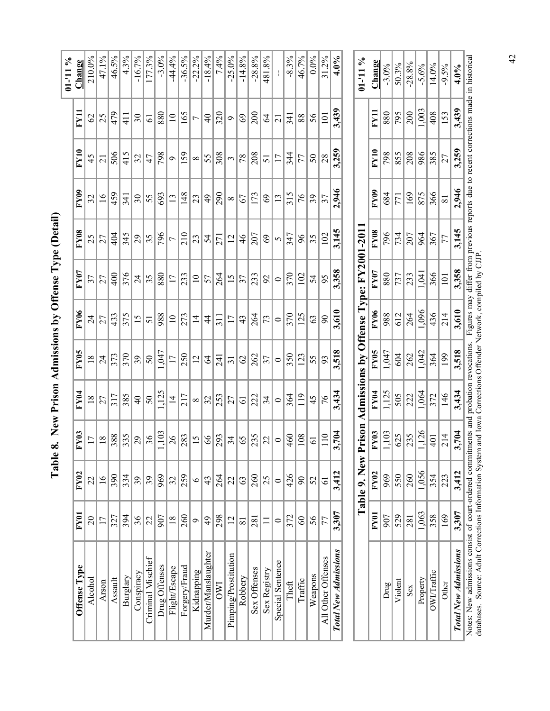| $01 - 111 = 0$ |                 |                 |                          |                |                 |                 | Prison Admissions by Offense Tyne: $\bf KV200112011$ |                |                | Table 9 New     |                 |                             |
|----------------|-----------------|-----------------|--------------------------|----------------|-----------------|-----------------|------------------------------------------------------|----------------|----------------|-----------------|-----------------|-----------------------------|
| $4.0\%$        | 3,439           | 3,259           | 2,946                    | 3,145          | 3,358           | 3,610           | 3,518                                                | 3,434          | 3,704          | 3,412           | 3,307           | <b>Total New Admissions</b> |
| 31.2%          | 101             | 28              | 37                       | 102            | 95              | $\mathcal{S}^0$ | 93                                                   | 76             | 110            | $\overline{61}$ | 77              | All Other Offenses          |
| $0.0\%$        | 56              | 50              | 39                       | 35             | 54              | 63              | 55                                                   | 45             | $\overline{6}$ | 52              | 56              | Weapons                     |
| 46.7%          | 88              | 77              | 76                       | 96             | 102             | 125             | 123                                                  | 119            | 108            | $\infty$        | $\overline{60}$ | Traffic                     |
| $-8.3%$        | 341             | 344             | 315                      | 347            | 370             | 370             | 350                                                  | 364            | 460            | 426             | 372             | Theft                       |
|                | $\overline{21}$ | $\overline{17}$ | $\overline{13}$          | 5              | $\circ$         | $\circ$         | $\bullet$                                            | $\circ$        | $\circ$        | $\circ$         | $\circ$         | Special Sentence            |
| 481.8%         | $\mathcal{L}$   | 51              | 69                       | 69             | 2               | 73              | 37                                                   | 34             | 22             | 25              |                 | Sex Registry                |
| $-28.8%$       | 200             | 208             | 173                      | 207            | 233             | 264             | 262                                                  | 222            | 235            | 260             | 281             | Sex Offenses                |
| $-14.8%$       | 69              | 78              | 67                       | 46             | 37              | 43              | $\mathcal{O}$                                        | $\overline{6}$ | 65             | 63              | $\overline{81}$ | Robbery                     |
| $-25.0%$       | $\sigma$        | 3               | $\infty$                 | $\overline{c}$ | 15              | $\overline{17}$ | $\overline{31}$                                      | 27             | 34             | 22              | $\overline{2}$  | Pimping/Prostitution        |
| 7.4%           | 320             | 308             | 290                      | 271            | 264             | $\frac{1}{3}$   | $\overline{54}$                                      | 253            | 293            | 264             | 298             | <b>OWI</b>                  |
| $-18.4%$       | $\overline{4}$  | 55              | $\overline{6}$           | 54             | 57              | $\frac{4}{4}$   | 2                                                    | 32             | $\infty$       | 43              | $\frac{49}{5}$  | Murder/Manslaughter         |
| $-22.2%$       | $\overline{ }$  | $\infty$        | 23                       | 23             | $\overline{10}$ | $\overline{4}$  | $\overline{2}$                                       | $\infty$       | 15             | $\circ$         | $\circ$         | Kidnapping                  |
| $-36.5%$       | 165             | 159             | 148                      | 210            | 233             | 273             | 250                                                  | 217            | 283            | 259             | 260             | Forgery/Fraud               |
| $-44.4%$       | $\overline{10}$ | $\sigma$        | $\overline{13}$          | $\overline{ }$ | 17              | $\overline{10}$ | $\overline{17}$                                      | $\overline{4}$ | 26             | 32              | $\frac{8}{18}$  | Flight/Escape               |
| $-3.0%$        | 880             | 798             | 693                      | 796            | 880             | 988             | 1,047                                                | 1,125          | ,103           | 969             | 907             | Drug Offenses               |
| 177.3%         | $\overline{6}$  | 47              | 55                       | 35             | 35              | 51              | 50                                                   | 50             | 36             | 39              | 22              | Criminal Mischief           |
| $-16.7%$       | $\Im$           | 32              | $\overline{\mathcal{E}}$ | 29             | $\overline{24}$ | $\overline{15}$ | 39                                                   | $\frac{1}{4}$  | 29             | 39              | 36              | Conspiracy                  |
| 4.3%           | $\frac{1}{4}$   | 415             | 341                      | 345            | 376             | 375             | 370                                                  | 385            | 335            | 334             | 394             | Burglary                    |
| 46.5%          | 479             | 506             | 459                      | 404            | 400             | 433             | 373                                                  | 317            | 388            | 390             | 327             | Assault                     |
| 47.1%          | 25              | $\overline{c}$  | $\overline{16}$          | 27             | 27              | 27              | $\overline{24}$                                      | 27             | $\frac{8}{18}$ | $\tilde{91}$    | 17              | Arson                       |
| 210.0%         | $\mathcal{O}$   | 45              | 32                       | 25             | 37              | $\overline{24}$ | $\frac{8}{18}$                                       | $\frac{8}{18}$ | 17             | 22              | $\overline{0}$  | Alcohol                     |
| Change         | FY11            | FY10            | FY <sub>09</sub>         | <b>FY08</b>    | <b>FY07</b>     | <b>FY06</b>     | FY05                                                 | FY04           | <b>FY03</b>    | FY02            | <b>FY01</b>     | Offense Type                |
| $01 - 11\%$    |                 |                 |                          |                |                 |                 |                                                      |                |                |                 |                 |                             |

**Table 8. New Prison Admissions by Offense Type (Detail)** 

Table 8. New Prison Admissions by Offense Type (Detail)

|                                                      |                  | Table 9. New | Prison                                                                                                                                                                                                                                                                                                                                                                                  |                                                                                         |                                                           |                                                                                                         | Admissions by Offense Type: FY2001-2011                                                                                                                                                                                                                                                                                                                                                   |                                                             |                         |                                                                                 |                                                    | 01-11%                                                                       |
|------------------------------------------------------|------------------|--------------|-----------------------------------------------------------------------------------------------------------------------------------------------------------------------------------------------------------------------------------------------------------------------------------------------------------------------------------------------------------------------------------------|-----------------------------------------------------------------------------------------|-----------------------------------------------------------|---------------------------------------------------------------------------------------------------------|-------------------------------------------------------------------------------------------------------------------------------------------------------------------------------------------------------------------------------------------------------------------------------------------------------------------------------------------------------------------------------------------|-------------------------------------------------------------|-------------------------|---------------------------------------------------------------------------------|----------------------------------------------------|------------------------------------------------------------------------------|
|                                                      | FY <sub>01</sub> | <b>FY02</b>  |                                                                                                                                                                                                                                                                                                                                                                                         |                                                                                         |                                                           |                                                                                                         |                                                                                                                                                                                                                                                                                                                                                                                           | FY08                                                        |                         |                                                                                 | $\frac{1}{2}$                                      |                                                                              |
| Drug                                                 | 907              | 969          |                                                                                                                                                                                                                                                                                                                                                                                         |                                                                                         |                                                           |                                                                                                         |                                                                                                                                                                                                                                                                                                                                                                                           |                                                             |                         |                                                                                 |                                                    |                                                                              |
| Violent                                              | 529              | 550          |                                                                                                                                                                                                                                                                                                                                                                                         |                                                                                         |                                                           |                                                                                                         |                                                                                                                                                                                                                                                                                                                                                                                           |                                                             |                         |                                                                                 |                                                    |                                                                              |
| Sex                                                  | 281              | 260          |                                                                                                                                                                                                                                                                                                                                                                                         |                                                                                         |                                                           |                                                                                                         |                                                                                                                                                                                                                                                                                                                                                                                           |                                                             |                         |                                                                                 |                                                    |                                                                              |
| Property                                             | 1,063            | 1,056        |                                                                                                                                                                                                                                                                                                                                                                                         |                                                                                         |                                                           |                                                                                                         |                                                                                                                                                                                                                                                                                                                                                                                           |                                                             |                         |                                                                                 |                                                    |                                                                              |
| OWI/Traffic                                          | 358              | 354          |                                                                                                                                                                                                                                                                                                                                                                                         |                                                                                         |                                                           |                                                                                                         |                                                                                                                                                                                                                                                                                                                                                                                           |                                                             |                         |                                                                                 |                                                    |                                                                              |
| Other                                                | 169              | 223          |                                                                                                                                                                                                                                                                                                                                                                                         |                                                                                         | $rac{1347}{1947}$<br>$rac{604}{262}$<br>$rac{1342}{1942}$ |                                                                                                         | $\frac{1}{2} \frac{1}{80} \frac{1}{80} \frac{1}{2} \frac{1}{2} \frac{1}{2} \frac{1}{2} \frac{1}{2} \frac{1}{2} \frac{1}{2} \frac{1}{2} \frac{1}{2} \frac{1}{2} \frac{1}{2} \frac{1}{2} \frac{1}{2} \frac{1}{2} \frac{1}{2} \frac{1}{2} \frac{1}{2} \frac{1}{2} \frac{1}{2} \frac{1}{2} \frac{1}{2} \frac{1}{2} \frac{1}{2} \frac{1}{2} \frac{1}{2} \frac{1}{2} \frac{1}{2} \frac{1}{2} \$ |                                                             |                         | $\frac{12}{28}$ $\frac{12}{28}$ $\frac{12}{28}$ $\frac{12}{28}$ $\frac{12}{28}$ |                                                    |                                                                              |
| Total New Admissions                                 | 3,307            | 3,412        | $\frac{\text{FY03}}{1.103} \frac{6}{3} \frac{1}{2} \frac{1}{2} \frac{1}{2} \frac{1}{4} \frac{1}{2} \frac{1}{4} \frac{1}{2} \frac{1}{2} \frac{1}{2} \frac{1}{2} \frac{1}{2} \frac{1}{2} \frac{1}{2} \frac{1}{2} \frac{1}{2} \frac{1}{2} \frac{1}{2} \frac{1}{2} \frac{1}{2} \frac{1}{2} \frac{1}{2} \frac{1}{2} \frac{1}{2} \frac{1}{2} \frac{1}{2} \frac{1}{2} \frac{1}{2} \frac{1}{2}$ | $\frac{F195}{1.125}$<br>$\frac{505}{212}$<br>$\frac{1.064}{212}$<br>$\frac{1.064}{212}$ | 3,518                                                     | $rac{68}{988}$<br>$rac{8}{612}$<br>$rac{13}{1096}$<br>$rac{14}{47}$<br>$rac{14}{214}$<br>$rac{14}{360}$ | 3,358                                                                                                                                                                                                                                                                                                                                                                                     | $\frac{96}{734}$<br>$\frac{207}{964}$<br>$\frac{367}{1214}$ | $\frac{\text{FVB}}{88}$ | 3,259                                                                           | $\frac{89}{ 8 8 }\frac{1}{2 8 8 }\frac{1}{2 8 8 }$ | Change<br>$-3.0\%$<br>$-50.3\%$<br>$-5.6\%$<br>$-14.0\%$<br>$-9.5\%$<br>4.0% |
| Natao: Naw admissions consist of court ordered commo |                  |              |                                                                                                                                                                                                                                                                                                                                                                                         | itmonte and probation recognizations                                                    |                                                           |                                                                                                         | Eigene mar differ from receious recent dua to recent correctional and in biotorical                                                                                                                                                                                                                                                                                                       |                                                             |                         |                                                                                 |                                                    |                                                                              |

Notes: New admissions consist of court-ordered commitments and probation revocations. Figures may differ from previous reports due to recent corrections made in historical databases. Source: Adult Corrections Information S Notes: New admissions consist of court-ordered commitments and probation revocations. Figures may differ from previous reports due to recent corrections made in historical databases. Source: Adult Corrections Information System and Iowa Corrections Offender Network, compiled by CJJP.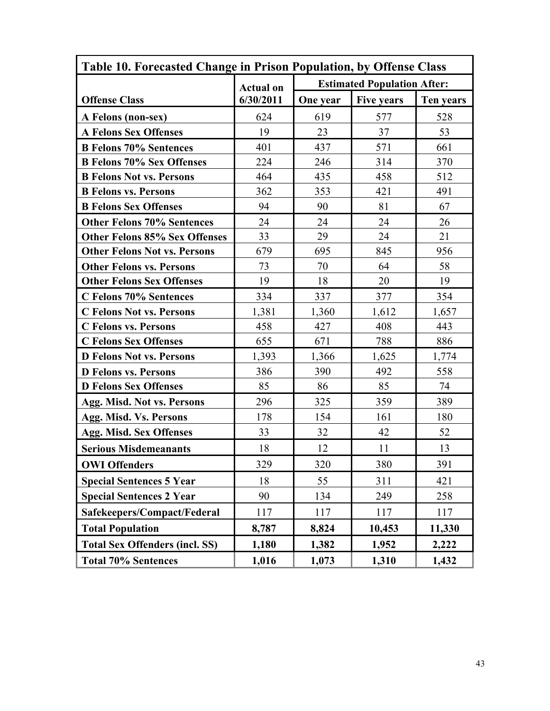| Table 10. Forecasted Change in Prison Population, by Offense Class |                  |          |                                    |           |
|--------------------------------------------------------------------|------------------|----------|------------------------------------|-----------|
|                                                                    | <b>Actual on</b> |          | <b>Estimated Population After:</b> |           |
| <b>Offense Class</b>                                               | 6/30/2011        | One year | <b>Five years</b>                  | Ten years |
| A Felons (non-sex)                                                 | 624              | 619      | 577                                | 528       |
| <b>A Felons Sex Offenses</b>                                       | 19               | 23       | 37                                 | 53        |
| <b>B Felons 70% Sentences</b>                                      | 401              | 437      | 571                                | 661       |
| <b>B Felons 70% Sex Offenses</b>                                   | 224              | 246      | 314                                | 370       |
| <b>B Felons Not vs. Persons</b>                                    | 464              | 435      | 458                                | 512       |
| <b>B</b> Felons vs. Persons                                        | 362              | 353      | 421                                | 491       |
| <b>B Felons Sex Offenses</b>                                       | 94               | 90       | 81                                 | 67        |
| <b>Other Felons 70% Sentences</b>                                  | 24               | 24       | 24                                 | 26        |
| <b>Other Felons 85% Sex Offenses</b>                               | 33               | 29       | 24                                 | 21        |
| <b>Other Felons Not vs. Persons</b>                                | 679              | 695      | 845                                | 956       |
| <b>Other Felons vs. Persons</b>                                    | 73               | 70       | 64                                 | 58        |
| <b>Other Felons Sex Offenses</b>                                   | 19               | 18       | 20                                 | 19        |
| C Felons 70% Sentences                                             | 334              | 337      | 377                                | 354       |
| <b>C Felons Not vs. Persons</b>                                    | 1,381            | 1,360    | 1,612                              | 1,657     |
| <b>C</b> Felons vs. Persons                                        | 458              | 427      | 408                                | 443       |
| <b>C Felons Sex Offenses</b>                                       | 655              | 671      | 788                                | 886       |
| <b>D Felons Not vs. Persons</b>                                    | 1,393            | 1,366    | 1,625                              | 1,774     |
| <b>D</b> Felons vs. Persons                                        | 386              | 390      | 492                                | 558       |
| <b>D Felons Sex Offenses</b>                                       | 85               | 86       | 85                                 | 74        |
| Agg. Misd. Not vs. Persons                                         | 296              | 325      | 359                                | 389       |
| Agg. Misd. Vs. Persons                                             | 178              | 154      | 161                                | 180       |
| Agg. Misd. Sex Offenses                                            | 33               | 32       | 42                                 | 52        |
| <b>Serious Misdemeanants</b>                                       | 18               | 12       | 11                                 | 13        |
| <b>OWI Offenders</b>                                               | 329              | 320      | 380                                | 391       |
| <b>Special Sentences 5 Year</b>                                    | 18               | 55       | 311                                | 421       |
| <b>Special Sentences 2 Year</b>                                    | 90               | 134      | 249                                | 258       |
| Safekeepers/Compact/Federal                                        | 117              | 117      | 117                                | 117       |
| <b>Total Population</b>                                            | 8,787            | 8,824    | 10,453                             | 11,330    |
| <b>Total Sex Offenders (incl. SS)</b>                              | 1,180            | 1,382    | 1,952                              | 2,222     |
| <b>Total 70% Sentences</b>                                         | 1,016            | 1,073    | 1,310                              | 1,432     |